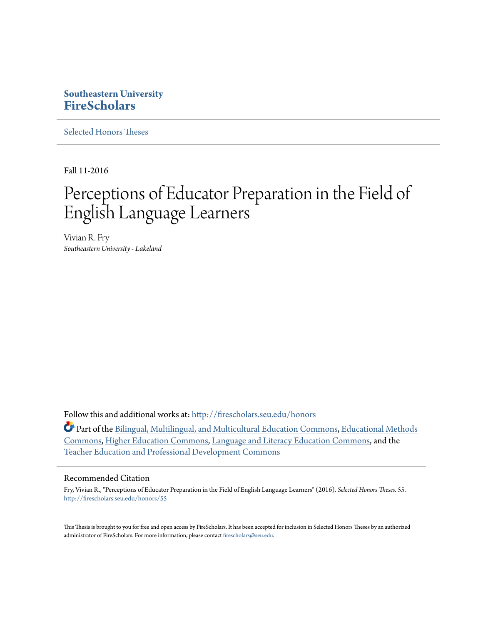### **Southeastern University [FireScholars](http://firescholars.seu.edu?utm_source=firescholars.seu.edu%2Fhonors%2F55&utm_medium=PDF&utm_campaign=PDFCoverPages)**

[Selected Honors Theses](http://firescholars.seu.edu/honors?utm_source=firescholars.seu.edu%2Fhonors%2F55&utm_medium=PDF&utm_campaign=PDFCoverPages)

Fall 11-2016

# Perceptions of Educator Preparation in the Field of English Language Learners

Vivian R. Fry *Southeastern University - Lakeland*

Follow this and additional works at: [http://firescholars.seu.edu/honors](http://firescholars.seu.edu/honors?utm_source=firescholars.seu.edu%2Fhonors%2F55&utm_medium=PDF&utm_campaign=PDFCoverPages)

Part of the [Bilingual, Multilingual, and Multicultural Education Commons](http://network.bepress.com/hgg/discipline/785?utm_source=firescholars.seu.edu%2Fhonors%2F55&utm_medium=PDF&utm_campaign=PDFCoverPages), [Educational Methods](http://network.bepress.com/hgg/discipline/1227?utm_source=firescholars.seu.edu%2Fhonors%2F55&utm_medium=PDF&utm_campaign=PDFCoverPages) [Commons,](http://network.bepress.com/hgg/discipline/1227?utm_source=firescholars.seu.edu%2Fhonors%2F55&utm_medium=PDF&utm_campaign=PDFCoverPages) [Higher Education Commons,](http://network.bepress.com/hgg/discipline/1245?utm_source=firescholars.seu.edu%2Fhonors%2F55&utm_medium=PDF&utm_campaign=PDFCoverPages) [Language and Literacy Education Commons,](http://network.bepress.com/hgg/discipline/1380?utm_source=firescholars.seu.edu%2Fhonors%2F55&utm_medium=PDF&utm_campaign=PDFCoverPages) and the [Teacher Education and Professional Development Commons](http://network.bepress.com/hgg/discipline/803?utm_source=firescholars.seu.edu%2Fhonors%2F55&utm_medium=PDF&utm_campaign=PDFCoverPages)

#### Recommended Citation

Fry, Vivian R., "Perceptions of Educator Preparation in the Field of English Language Learners" (2016). *Selected Honors Theses*. 55. [http://firescholars.seu.edu/honors/55](http://firescholars.seu.edu/honors/55?utm_source=firescholars.seu.edu%2Fhonors%2F55&utm_medium=PDF&utm_campaign=PDFCoverPages)

This Thesis is brought to you for free and open access by FireScholars. It has been accepted for inclusion in Selected Honors Theses by an authorized administrator of FireScholars. For more information, please contact [firescholars@seu.edu](mailto:firescholars@seu.edu).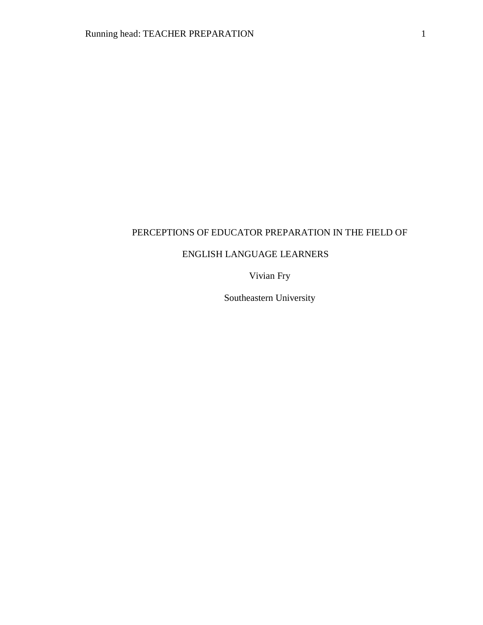# PERCEPTIONS OF EDUCATOR PREPARATION IN THE FIELD OF

### ENGLISH LANGUAGE LEARNERS

Vivian Fry

Southeastern University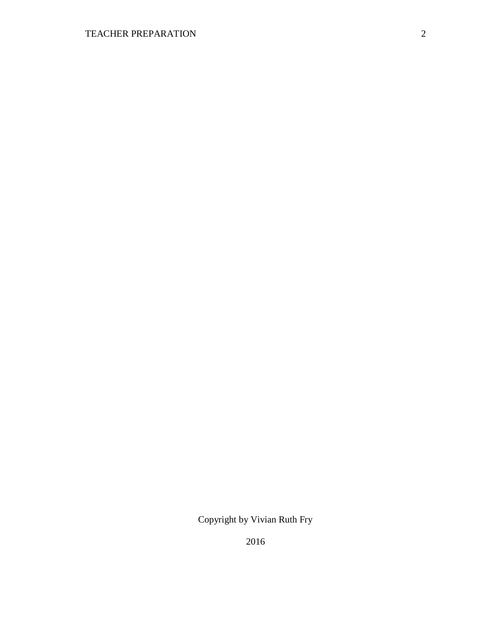Copyright by Vivian Ruth Fry

2016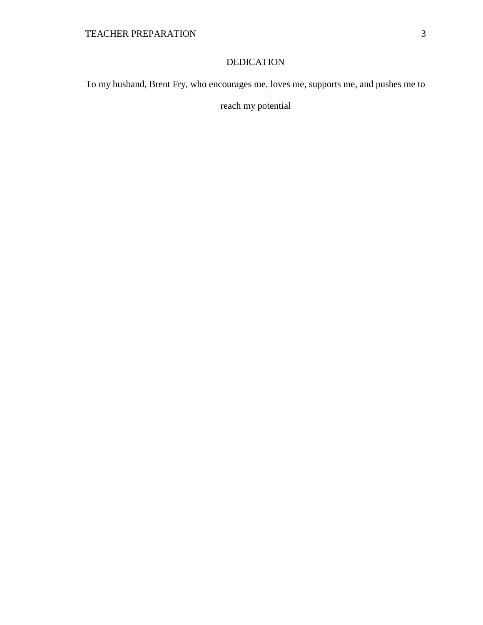### DEDICATION

To my husband, Brent Fry, who encourages me, loves me, supports me, and pushes me to

reach my potential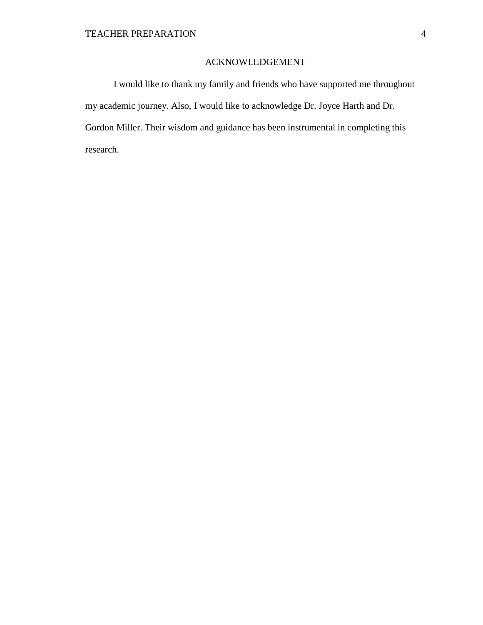### ACKNOWLEDGEMENT

I would like to thank my family and friends who have supported me throughout my academic journey. Also, I would like to acknowledge Dr. Joyce Harth and Dr. Gordon Miller. Their wisdom and guidance has been instrumental in completing this research.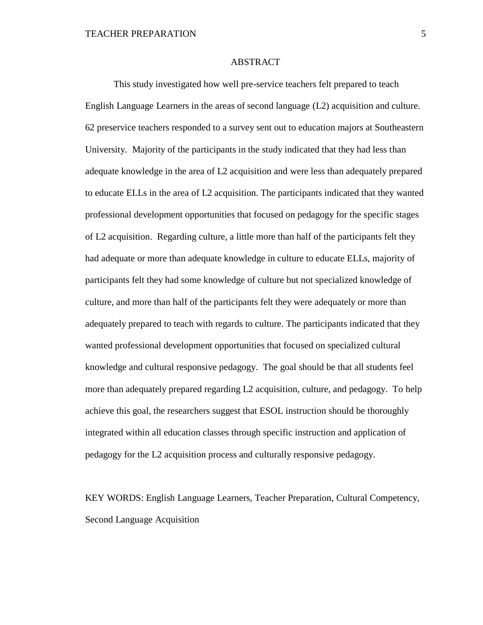### ABSTRACT

This study investigated how well pre-service teachers felt prepared to teach English Language Learners in the areas of second language (L2) acquisition and culture. 62 preservice teachers responded to a survey sent out to education majors at Southeastern University. Majority of the participants in the study indicated that they had less than adequate knowledge in the area of L2 acquisition and were less than adequately prepared to educate ELLs in the area of L2 acquisition. The participants indicated that they wanted professional development opportunities that focused on pedagogy for the specific stages of L2 acquisition. Regarding culture, a little more than half of the participants felt they had adequate or more than adequate knowledge in culture to educate ELLs, majority of participants felt they had some knowledge of culture but not specialized knowledge of culture, and more than half of the participants felt they were adequately or more than adequately prepared to teach with regards to culture. The participants indicated that they wanted professional development opportunities that focused on specialized cultural knowledge and cultural responsive pedagogy. The goal should be that all students feel more than adequately prepared regarding L2 acquisition, culture, and pedagogy. To help achieve this goal, the researchers suggest that ESOL instruction should be thoroughly integrated within all education classes through specific instruction and application of pedagogy for the L2 acquisition process and culturally responsive pedagogy.

KEY WORDS: English Language Learners, Teacher Preparation, Cultural Competency, Second Language Acquisition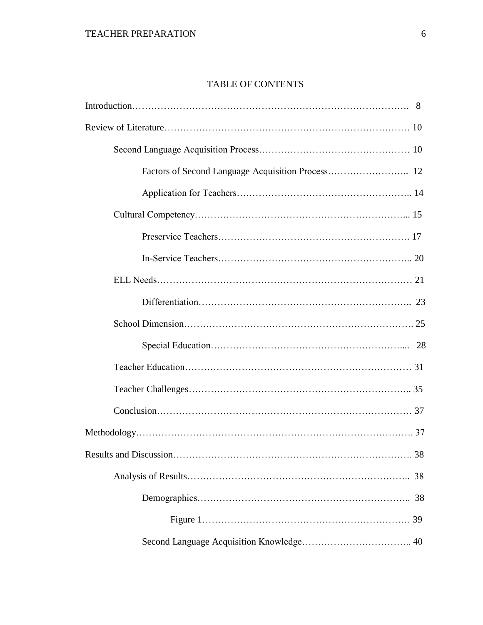# TABLE OF CONTENTS

| 38 |
|----|
|    |
|    |
|    |
|    |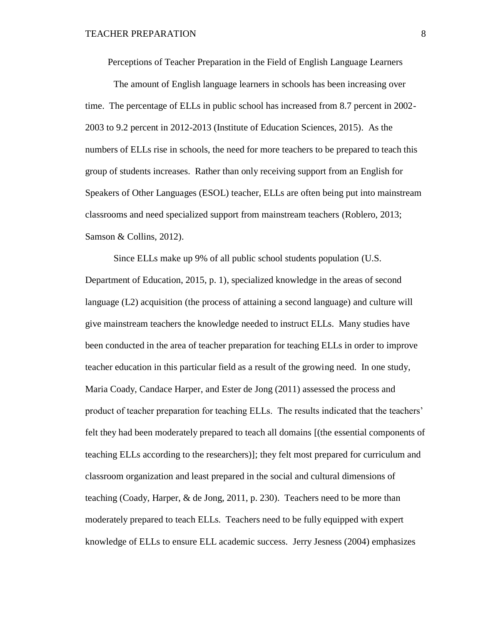Perceptions of Teacher Preparation in the Field of English Language Learners

The amount of English language learners in schools has been increasing over time. The percentage of ELLs in public school has increased from 8.7 percent in 2002- 2003 to 9.2 percent in 2012-2013 (Institute of Education Sciences, 2015). As the numbers of ELLs rise in schools, the need for more teachers to be prepared to teach this group of students increases. Rather than only receiving support from an English for Speakers of Other Languages (ESOL) teacher, ELLs are often being put into mainstream classrooms and need specialized support from mainstream teachers (Roblero, 2013; Samson & Collins, 2012).

Since ELLs make up 9% of all public school students population (U.S. Department of Education, 2015, p. 1), specialized knowledge in the areas of second language (L2) acquisition (the process of attaining a second language) and culture will give mainstream teachers the knowledge needed to instruct ELLs. Many studies have been conducted in the area of teacher preparation for teaching ELLs in order to improve teacher education in this particular field as a result of the growing need. In one study, Maria Coady, Candace Harper, and Ester de Jong (2011) assessed the process and product of teacher preparation for teaching ELLs. The results indicated that the teachers' felt they had been moderately prepared to teach all domains [(the essential components of teaching ELLs according to the researchers)]; they felt most prepared for curriculum and classroom organization and least prepared in the social and cultural dimensions of teaching (Coady, Harper, & de Jong, 2011, p. 230). Teachers need to be more than moderately prepared to teach ELLs. Teachers need to be fully equipped with expert knowledge of ELLs to ensure ELL academic success. Jerry Jesness (2004) emphasizes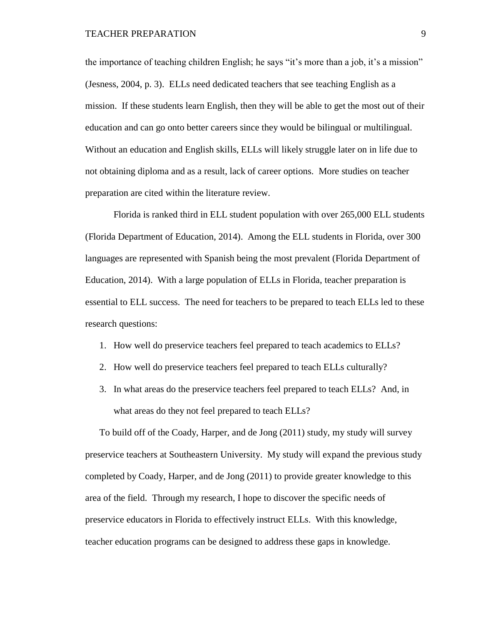the importance of teaching children English; he says "it's more than a job, it's a mission" (Jesness, 2004, p. 3). ELLs need dedicated teachers that see teaching English as a mission. If these students learn English, then they will be able to get the most out of their education and can go onto better careers since they would be bilingual or multilingual. Without an education and English skills, ELLs will likely struggle later on in life due to not obtaining diploma and as a result, lack of career options. More studies on teacher preparation are cited within the literature review.

Florida is ranked third in ELL student population with over 265,000 ELL students (Florida Department of Education, 2014). Among the ELL students in Florida, over 300 languages are represented with Spanish being the most prevalent (Florida Department of Education, 2014). With a large population of ELLs in Florida, teacher preparation is essential to ELL success. The need for teachers to be prepared to teach ELLs led to these research questions:

- 1. How well do preservice teachers feel prepared to teach academics to ELLs?
- 2. How well do preservice teachers feel prepared to teach ELLs culturally?
- 3. In what areas do the preservice teachers feel prepared to teach ELLs? And, in what areas do they not feel prepared to teach ELLs?

To build off of the Coady, Harper, and de Jong (2011) study, my study will survey preservice teachers at Southeastern University. My study will expand the previous study completed by Coady, Harper, and de Jong (2011) to provide greater knowledge to this area of the field. Through my research, I hope to discover the specific needs of preservice educators in Florida to effectively instruct ELLs. With this knowledge, teacher education programs can be designed to address these gaps in knowledge.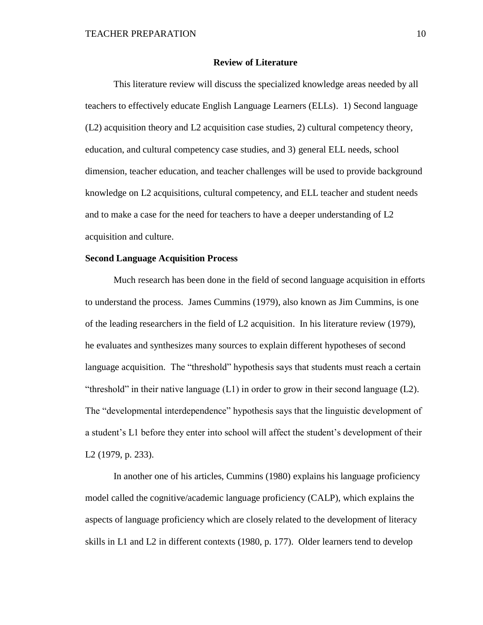#### **Review of Literature**

This literature review will discuss the specialized knowledge areas needed by all teachers to effectively educate English Language Learners (ELLs). 1) Second language (L2) acquisition theory and L2 acquisition case studies, 2) cultural competency theory, education, and cultural competency case studies, and 3) general ELL needs, school dimension, teacher education, and teacher challenges will be used to provide background knowledge on L2 acquisitions, cultural competency, and ELL teacher and student needs and to make a case for the need for teachers to have a deeper understanding of L2 acquisition and culture.

### **Second Language Acquisition Process**

Much research has been done in the field of second language acquisition in efforts to understand the process. James Cummins (1979), also known as Jim Cummins, is one of the leading researchers in the field of L2 acquisition. In his literature review (1979), he evaluates and synthesizes many sources to explain different hypotheses of second language acquisition. The "threshold" hypothesis says that students must reach a certain "threshold" in their native language (L1) in order to grow in their second language (L2). The "developmental interdependence" hypothesis says that the linguistic development of a student's L1 before they enter into school will affect the student's development of their L2 (1979, p. 233).

In another one of his articles, Cummins (1980) explains his language proficiency model called the cognitive/academic language proficiency (CALP), which explains the aspects of language proficiency which are closely related to the development of literacy skills in L1 and L2 in different contexts (1980, p. 177). Older learners tend to develop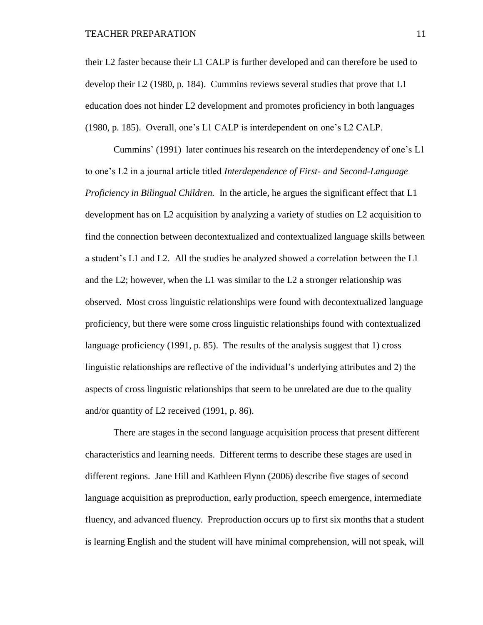their L2 faster because their L1 CALP is further developed and can therefore be used to develop their L2 (1980, p. 184). Cummins reviews several studies that prove that L1 education does not hinder L2 development and promotes proficiency in both languages (1980, p. 185). Overall, one's L1 CALP is interdependent on one's L2 CALP.

Cummins' (1991) later continues his research on the interdependency of one's L1 to one's L2 in a journal article titled *Interdependence of First- and Second-Language Proficiency in Bilingual Children.* In the article, he argues the significant effect that L1 development has on L2 acquisition by analyzing a variety of studies on L2 acquisition to find the connection between decontextualized and contextualized language skills between a student's L1 and L2. All the studies he analyzed showed a correlation between the L1 and the L2; however, when the L1 was similar to the L2 a stronger relationship was observed. Most cross linguistic relationships were found with decontextualized language proficiency, but there were some cross linguistic relationships found with contextualized language proficiency (1991, p. 85). The results of the analysis suggest that 1) cross linguistic relationships are reflective of the individual's underlying attributes and 2) the aspects of cross linguistic relationships that seem to be unrelated are due to the quality and/or quantity of L2 received (1991, p. 86).

There are stages in the second language acquisition process that present different characteristics and learning needs. Different terms to describe these stages are used in different regions. Jane Hill and Kathleen Flynn (2006) describe five stages of second language acquisition as preproduction, early production, speech emergence, intermediate fluency, and advanced fluency. Preproduction occurs up to first six months that a student is learning English and the student will have minimal comprehension, will not speak, will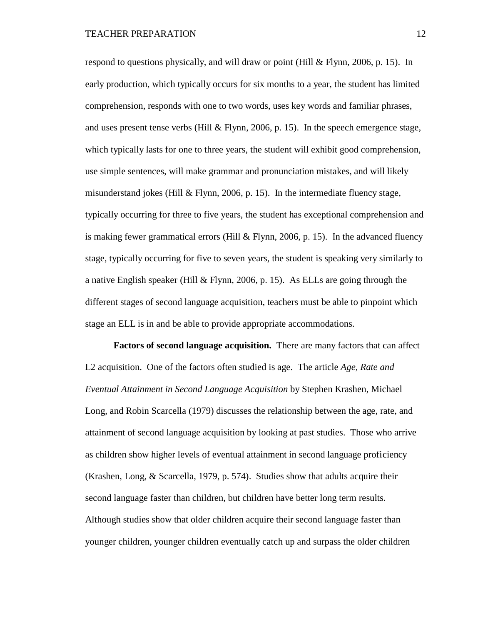respond to questions physically, and will draw or point (Hill & Flynn, 2006, p. 15). In early production, which typically occurs for six months to a year, the student has limited comprehension, responds with one to two words, uses key words and familiar phrases, and uses present tense verbs (Hill  $&$  Flynn, 2006, p. 15). In the speech emergence stage, which typically lasts for one to three years, the student will exhibit good comprehension, use simple sentences, will make grammar and pronunciation mistakes, and will likely misunderstand jokes (Hill & Flynn, 2006, p. 15). In the intermediate fluency stage, typically occurring for three to five years, the student has exceptional comprehension and is making fewer grammatical errors (Hill  $&$  Flynn, 2006, p. 15). In the advanced fluency stage, typically occurring for five to seven years, the student is speaking very similarly to a native English speaker (Hill & Flynn, 2006, p. 15). As ELLs are going through the different stages of second language acquisition, teachers must be able to pinpoint which stage an ELL is in and be able to provide appropriate accommodations.

**Factors of second language acquisition.** There are many factors that can affect L2 acquisition. One of the factors often studied is age. The article *Age, Rate and Eventual Attainment in Second Language Acquisition* by Stephen Krashen, Michael Long, and Robin Scarcella (1979) discusses the relationship between the age, rate, and attainment of second language acquisition by looking at past studies. Those who arrive as children show higher levels of eventual attainment in second language proficiency (Krashen, Long, & Scarcella, 1979, p. 574). Studies show that adults acquire their second language faster than children, but children have better long term results. Although studies show that older children acquire their second language faster than younger children, younger children eventually catch up and surpass the older children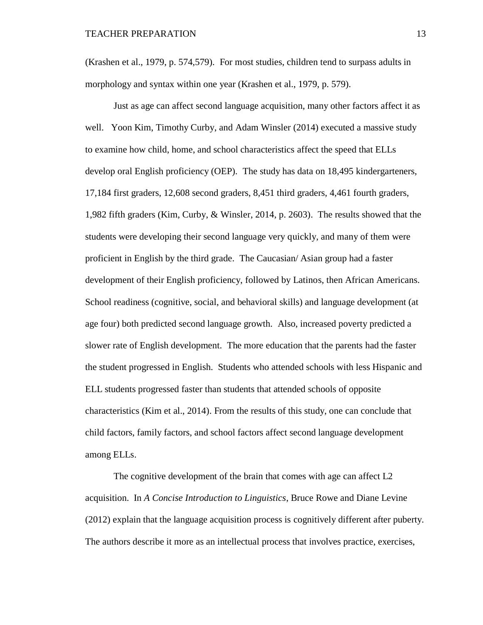(Krashen et al., 1979, p. 574,579). For most studies, children tend to surpass adults in morphology and syntax within one year (Krashen et al., 1979, p. 579).

Just as age can affect second language acquisition, many other factors affect it as well. Yoon Kim, Timothy Curby, and Adam Winsler (2014) executed a massive study to examine how child, home, and school characteristics affect the speed that ELLs develop oral English proficiency (OEP). The study has data on 18,495 kindergarteners, 17,184 first graders, 12,608 second graders, 8,451 third graders, 4,461 fourth graders, 1,982 fifth graders (Kim, Curby, & Winsler, 2014, p. 2603). The results showed that the students were developing their second language very quickly, and many of them were proficient in English by the third grade. The Caucasian/ Asian group had a faster development of their English proficiency, followed by Latinos, then African Americans. School readiness (cognitive, social, and behavioral skills) and language development (at age four) both predicted second language growth. Also, increased poverty predicted a slower rate of English development. The more education that the parents had the faster the student progressed in English. Students who attended schools with less Hispanic and ELL students progressed faster than students that attended schools of opposite characteristics (Kim et al., 2014). From the results of this study, one can conclude that child factors, family factors, and school factors affect second language development among ELLs.

The cognitive development of the brain that comes with age can affect L2 acquisition. In *A Concise Introduction to Linguistics*, Bruce Rowe and Diane Levine (2012) explain that the language acquisition process is cognitively different after puberty. The authors describe it more as an intellectual process that involves practice, exercises,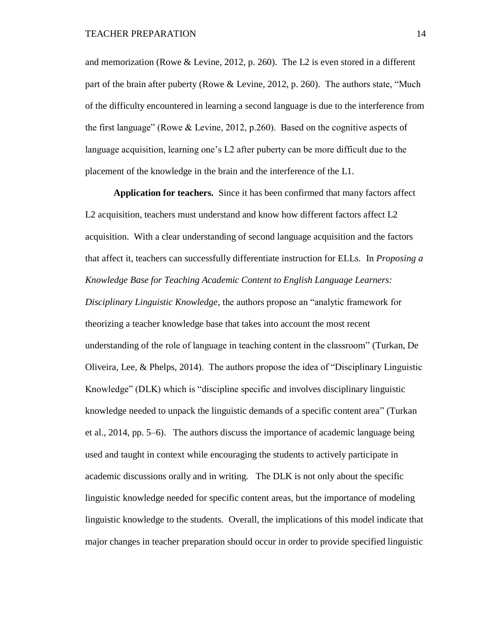and memorization (Rowe & Levine, 2012, p. 260). The L2 is even stored in a different part of the brain after puberty (Rowe & Levine, 2012, p. 260). The authors state, "Much of the difficulty encountered in learning a second language is due to the interference from the first language" (Rowe & Levine, 2012, p.260). Based on the cognitive aspects of language acquisition, learning one's L2 after puberty can be more difficult due to the placement of the knowledge in the brain and the interference of the L1.

**Application for teachers.** Since it has been confirmed that many factors affect L2 acquisition, teachers must understand and know how different factors affect L2 acquisition. With a clear understanding of second language acquisition and the factors that affect it, teachers can successfully differentiate instruction for ELLs. In *Proposing a Knowledge Base for Teaching Academic Content to English Language Learners: Disciplinary Linguistic Knowledge*, the authors propose an "analytic framework for theorizing a teacher knowledge base that takes into account the most recent understanding of the role of language in teaching content in the classroom" (Turkan, De Oliveira, Lee, & Phelps, 2014). The authors propose the idea of "Disciplinary Linguistic Knowledge" (DLK) which is "discipline specific and involves disciplinary linguistic knowledge needed to unpack the linguistic demands of a specific content area" (Turkan et al., 2014, pp. 5–6). The authors discuss the importance of academic language being used and taught in context while encouraging the students to actively participate in academic discussions orally and in writing. The DLK is not only about the specific linguistic knowledge needed for specific content areas, but the importance of modeling linguistic knowledge to the students. Overall, the implications of this model indicate that major changes in teacher preparation should occur in order to provide specified linguistic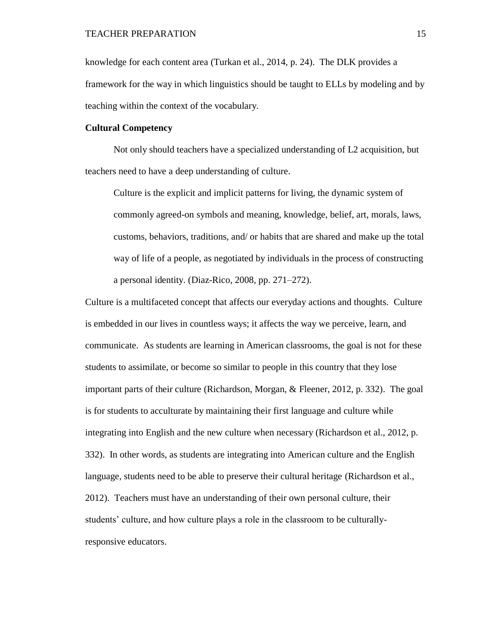knowledge for each content area (Turkan et al., 2014, p. 24). The DLK provides a framework for the way in which linguistics should be taught to ELLs by modeling and by teaching within the context of the vocabulary.

### **Cultural Competency**

Not only should teachers have a specialized understanding of L2 acquisition, but teachers need to have a deep understanding of culture.

Culture is the explicit and implicit patterns for living, the dynamic system of commonly agreed-on symbols and meaning, knowledge, belief, art, morals, laws, customs, behaviors, traditions, and/ or habits that are shared and make up the total way of life of a people, as negotiated by individuals in the process of constructing a personal identity. (Diaz-Rico, 2008, pp. 271–272).

Culture is a multifaceted concept that affects our everyday actions and thoughts. Culture is embedded in our lives in countless ways; it affects the way we perceive, learn, and communicate. As students are learning in American classrooms, the goal is not for these students to assimilate, or become so similar to people in this country that they lose important parts of their culture (Richardson, Morgan, & Fleener, 2012, p. 332). The goal is for students to acculturate by maintaining their first language and culture while integrating into English and the new culture when necessary (Richardson et al., 2012, p. 332). In other words, as students are integrating into American culture and the English language, students need to be able to preserve their cultural heritage (Richardson et al., 2012). Teachers must have an understanding of their own personal culture, their students' culture, and how culture plays a role in the classroom to be culturallyresponsive educators.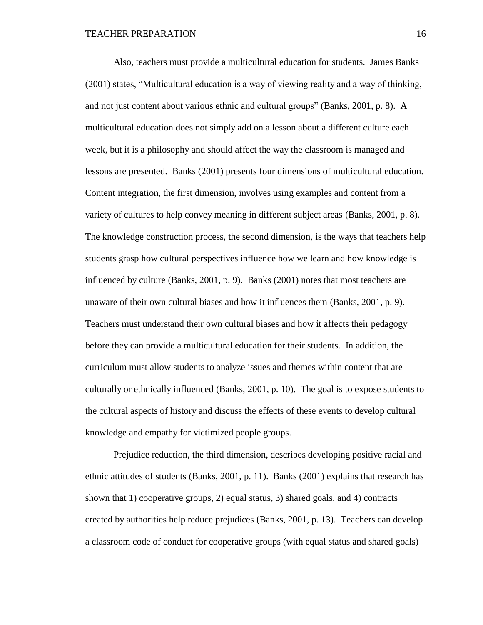Also, teachers must provide a multicultural education for students. James Banks (2001) states, "Multicultural education is a way of viewing reality and a way of thinking, and not just content about various ethnic and cultural groups" (Banks, 2001, p. 8). A multicultural education does not simply add on a lesson about a different culture each week, but it is a philosophy and should affect the way the classroom is managed and lessons are presented. Banks (2001) presents four dimensions of multicultural education. Content integration, the first dimension, involves using examples and content from a variety of cultures to help convey meaning in different subject areas (Banks, 2001, p. 8). The knowledge construction process, the second dimension, is the ways that teachers help students grasp how cultural perspectives influence how we learn and how knowledge is influenced by culture (Banks, 2001, p. 9). Banks (2001) notes that most teachers are unaware of their own cultural biases and how it influences them (Banks, 2001, p. 9). Teachers must understand their own cultural biases and how it affects their pedagogy before they can provide a multicultural education for their students. In addition, the curriculum must allow students to analyze issues and themes within content that are culturally or ethnically influenced (Banks, 2001, p. 10). The goal is to expose students to the cultural aspects of history and discuss the effects of these events to develop cultural knowledge and empathy for victimized people groups.

Prejudice reduction, the third dimension, describes developing positive racial and ethnic attitudes of students (Banks, 2001, p. 11). Banks (2001) explains that research has shown that 1) cooperative groups, 2) equal status, 3) shared goals, and 4) contracts created by authorities help reduce prejudices (Banks, 2001, p. 13). Teachers can develop a classroom code of conduct for cooperative groups (with equal status and shared goals)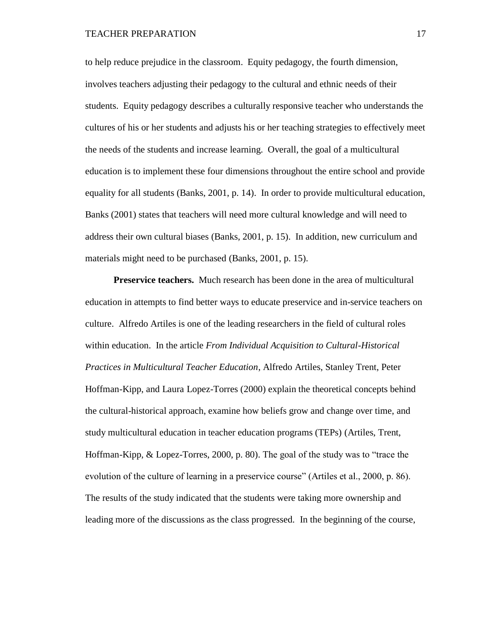to help reduce prejudice in the classroom. Equity pedagogy, the fourth dimension, involves teachers adjusting their pedagogy to the cultural and ethnic needs of their students. Equity pedagogy describes a culturally responsive teacher who understands the cultures of his or her students and adjusts his or her teaching strategies to effectively meet the needs of the students and increase learning. Overall, the goal of a multicultural education is to implement these four dimensions throughout the entire school and provide equality for all students (Banks, 2001, p. 14). In order to provide multicultural education, Banks (2001) states that teachers will need more cultural knowledge and will need to address their own cultural biases (Banks, 2001, p. 15). In addition, new curriculum and materials might need to be purchased (Banks, 2001, p. 15).

**Preservice teachers.** Much research has been done in the area of multicultural education in attempts to find better ways to educate preservice and in-service teachers on culture. Alfredo Artiles is one of the leading researchers in the field of cultural roles within education. In the article *From Individual Acquisition to Cultural-Historical Practices in Multicultural Teacher Education*, Alfredo Artiles, Stanley Trent, Peter Hoffman-Kipp, and Laura Lopez-Torres (2000) explain the theoretical concepts behind the cultural-historical approach, examine how beliefs grow and change over time, and study multicultural education in teacher education programs (TEPs) (Artiles, Trent, Hoffman-Kipp, & Lopez-Torres, 2000, p. 80). The goal of the study was to "trace the evolution of the culture of learning in a preservice course" (Artiles et al., 2000, p. 86). The results of the study indicated that the students were taking more ownership and leading more of the discussions as the class progressed. In the beginning of the course,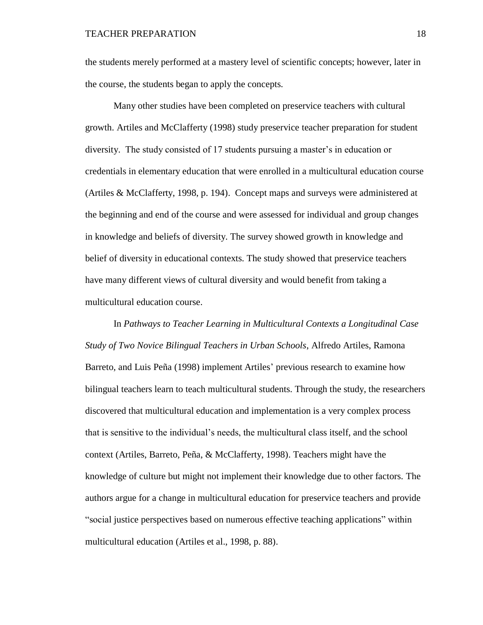the students merely performed at a mastery level of scientific concepts; however, later in the course, the students began to apply the concepts.

Many other studies have been completed on preservice teachers with cultural growth. Artiles and McClafferty (1998) study preservice teacher preparation for student diversity. The study consisted of 17 students pursuing a master's in education or credentials in elementary education that were enrolled in a multicultural education course (Artiles & McClafferty, 1998, p. 194). Concept maps and surveys were administered at the beginning and end of the course and were assessed for individual and group changes in knowledge and beliefs of diversity. The survey showed growth in knowledge and belief of diversity in educational contexts. The study showed that preservice teachers have many different views of cultural diversity and would benefit from taking a multicultural education course.

In *Pathways to Teacher Learning in Multicultural Contexts a Longitudinal Case Study of Two Novice Bilingual Teachers in Urban Schools*, Alfredo Artiles, Ramona Barreto, and Luis Peña (1998) implement Artiles' previous research to examine how bilingual teachers learn to teach multicultural students. Through the study, the researchers discovered that multicultural education and implementation is a very complex process that is sensitive to the individual's needs, the multicultural class itself, and the school context (Artiles, Barreto, Peña, & McClafferty, 1998). Teachers might have the knowledge of culture but might not implement their knowledge due to other factors. The authors argue for a change in multicultural education for preservice teachers and provide "social justice perspectives based on numerous effective teaching applications" within multicultural education (Artiles et al., 1998, p. 88).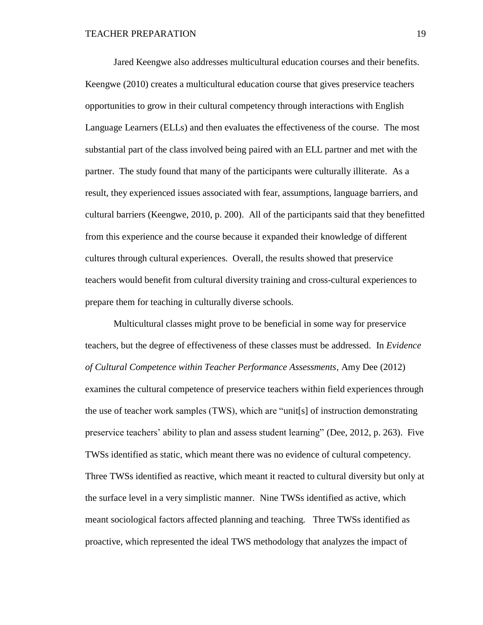Jared Keengwe also addresses multicultural education courses and their benefits*.*  Keengwe (2010) creates a multicultural education course that gives preservice teachers opportunities to grow in their cultural competency through interactions with English Language Learners (ELLs) and then evaluates the effectiveness of the course. The most substantial part of the class involved being paired with an ELL partner and met with the partner. The study found that many of the participants were culturally illiterate. As a result, they experienced issues associated with fear, assumptions, language barriers, and cultural barriers (Keengwe, 2010, p. 200). All of the participants said that they benefitted from this experience and the course because it expanded their knowledge of different cultures through cultural experiences. Overall, the results showed that preservice teachers would benefit from cultural diversity training and cross-cultural experiences to prepare them for teaching in culturally diverse schools.

Multicultural classes might prove to be beneficial in some way for preservice teachers, but the degree of effectiveness of these classes must be addressed. In *Evidence of Cultural Competence within Teacher Performance Assessments*, Amy Dee (2012) examines the cultural competence of preservice teachers within field experiences through the use of teacher work samples (TWS), which are "unit[s] of instruction demonstrating preservice teachers' ability to plan and assess student learning" (Dee, 2012, p. 263). Five TWSs identified as static, which meant there was no evidence of cultural competency. Three TWSs identified as reactive, which meant it reacted to cultural diversity but only at the surface level in a very simplistic manner. Nine TWSs identified as active, which meant sociological factors affected planning and teaching. Three TWSs identified as proactive, which represented the ideal TWS methodology that analyzes the impact of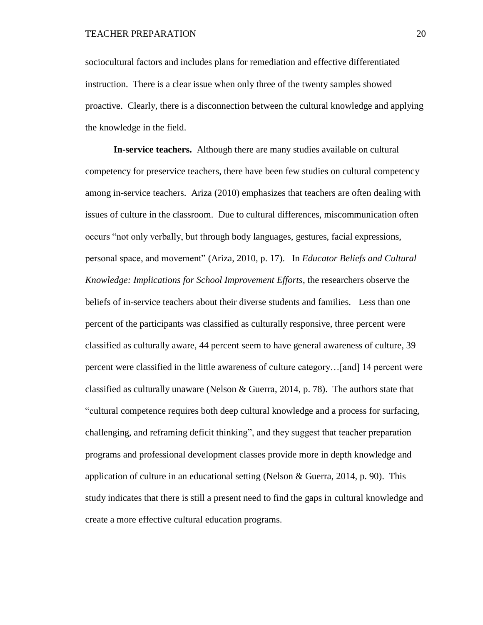sociocultural factors and includes plans for remediation and effective differentiated instruction. There is a clear issue when only three of the twenty samples showed proactive. Clearly, there is a disconnection between the cultural knowledge and applying the knowledge in the field.

**In-service teachers.** Although there are many studies available on cultural competency for preservice teachers, there have been few studies on cultural competency among in-service teachers. Ariza (2010) emphasizes that teachers are often dealing with issues of culture in the classroom. Due to cultural differences, miscommunication often occurs "not only verbally, but through body languages, gestures, facial expressions, personal space, and movement" (Ariza, 2010, p. 17). In *Educator Beliefs and Cultural Knowledge: Implications for School Improvement Efforts*, the researchers observe the beliefs of in-service teachers about their diverse students and families. Less than one percent of the participants was classified as culturally responsive, three percent were classified as culturally aware, 44 percent seem to have general awareness of culture, 39 percent were classified in the little awareness of culture category…[and] 14 percent were classified as culturally unaware (Nelson & Guerra, 2014, p. 78). The authors state that "cultural competence requires both deep cultural knowledge and a process for surfacing, challenging, and reframing deficit thinking", and they suggest that teacher preparation programs and professional development classes provide more in depth knowledge and application of culture in an educational setting (Nelson & Guerra, 2014, p. 90). This study indicates that there is still a present need to find the gaps in cultural knowledge and create a more effective cultural education programs.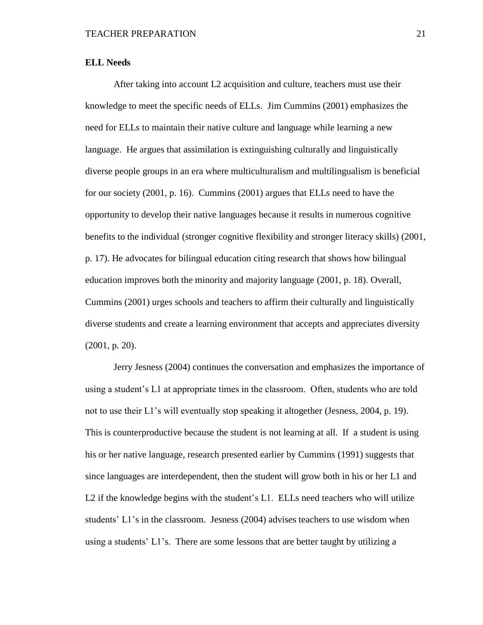### **ELL Needs**

After taking into account L2 acquisition and culture, teachers must use their knowledge to meet the specific needs of ELLs. Jim Cummins (2001) emphasizes the need for ELLs to maintain their native culture and language while learning a new language. He argues that assimilation is extinguishing culturally and linguistically diverse people groups in an era where multiculturalism and multilingualism is beneficial for our society (2001, p. 16). Cummins (2001) argues that ELLs need to have the opportunity to develop their native languages because it results in numerous cognitive benefits to the individual (stronger cognitive flexibility and stronger literacy skills) (2001, p. 17). He advocates for bilingual education citing research that shows how bilingual education improves both the minority and majority language (2001, p. 18). Overall, Cummins (2001) urges schools and teachers to affirm their culturally and linguistically diverse students and create a learning environment that accepts and appreciates diversity (2001, p. 20).

Jerry Jesness (2004) continues the conversation and emphasizes the importance of using a student's L1 at appropriate times in the classroom. Often, students who are told not to use their L1's will eventually stop speaking it altogether (Jesness, 2004, p. 19). This is counterproductive because the student is not learning at all. If a student is using his or her native language, research presented earlier by Cummins (1991) suggests that since languages are interdependent, then the student will grow both in his or her L1 and L2 if the knowledge begins with the student's L1. ELLs need teachers who will utilize students' L1's in the classroom. Jesness (2004) advises teachers to use wisdom when using a students' L1's. There are some lessons that are better taught by utilizing a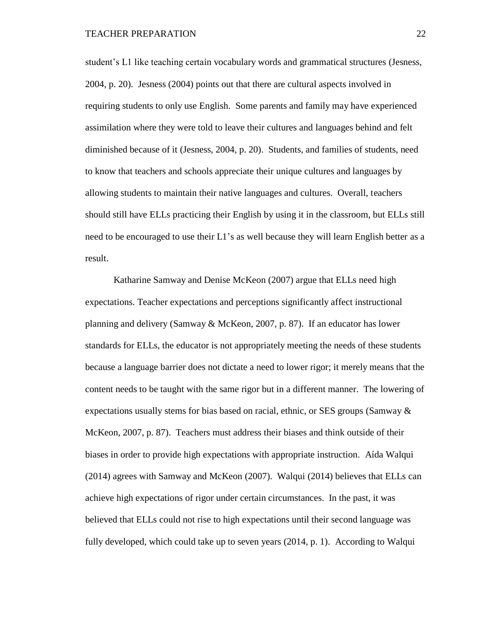student's L1 like teaching certain vocabulary words and grammatical structures (Jesness, 2004, p. 20). Jesness (2004) points out that there are cultural aspects involved in requiring students to only use English. Some parents and family may have experienced assimilation where they were told to leave their cultures and languages behind and felt diminished because of it (Jesness, 2004, p. 20). Students, and families of students, need to know that teachers and schools appreciate their unique cultures and languages by allowing students to maintain their native languages and cultures. Overall, teachers should still have ELLs practicing their English by using it in the classroom, but ELLs still need to be encouraged to use their L1's as well because they will learn English better as a result.

Katharine Samway and Denise McKeon (2007) argue that ELLs need high expectations. Teacher expectations and perceptions significantly affect instructional planning and delivery (Samway & McKeon, 2007, p. 87). If an educator has lower standards for ELLs, the educator is not appropriately meeting the needs of these students because a language barrier does not dictate a need to lower rigor; it merely means that the content needs to be taught with the same rigor but in a different manner. The lowering of expectations usually stems for bias based on racial, ethnic, or SES groups (Samway  $\&$ McKeon, 2007, p. 87). Teachers must address their biases and think outside of their biases in order to provide high expectations with appropriate instruction. Aída Walqui (2014) agrees with Samway and McKeon (2007). Walqui (2014) believes that ELLs can achieve high expectations of rigor under certain circumstances. In the past, it was believed that ELLs could not rise to high expectations until their second language was fully developed, which could take up to seven years (2014, p. 1). According to Walqui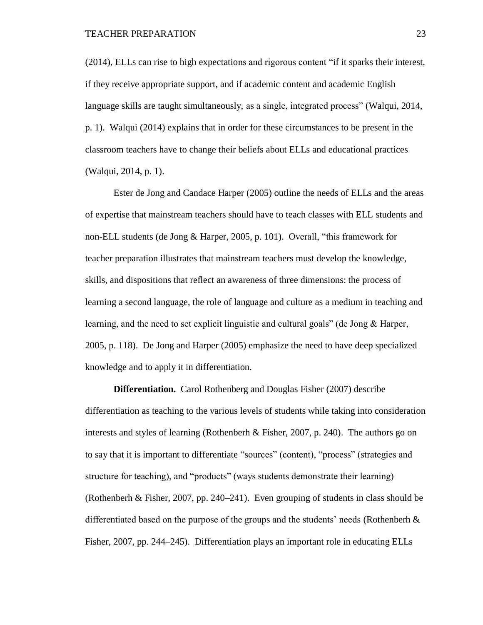(2014), ELLs can rise to high expectations and rigorous content "if it sparks their interest, if they receive appropriate support, and if academic content and academic English language skills are taught simultaneously, as a single, integrated process" (Walqui, 2014, p. 1). Walqui (2014) explains that in order for these circumstances to be present in the classroom teachers have to change their beliefs about ELLs and educational practices (Walqui, 2014, p. 1).

Ester de Jong and Candace Harper (2005) outline the needs of ELLs and the areas of expertise that mainstream teachers should have to teach classes with ELL students and non-ELL students (de Jong & Harper, 2005, p. 101). Overall, "this framework for teacher preparation illustrates that mainstream teachers must develop the knowledge, skills, and dispositions that reflect an awareness of three dimensions: the process of learning a second language, the role of language and culture as a medium in teaching and learning, and the need to set explicit linguistic and cultural goals" (de Jong & Harper, 2005, p. 118). De Jong and Harper (2005) emphasize the need to have deep specialized knowledge and to apply it in differentiation.

**Differentiation.** Carol Rothenberg and Douglas Fisher (2007) describe differentiation as teaching to the various levels of students while taking into consideration interests and styles of learning (Rothenberh & Fisher, 2007, p. 240). The authors go on to say that it is important to differentiate "sources" (content), "process" (strategies and structure for teaching), and "products" (ways students demonstrate their learning) (Rothenberh & Fisher, 2007, pp. 240–241). Even grouping of students in class should be differentiated based on the purpose of the groups and the students' needs (Rothenberh  $\&$ Fisher, 2007, pp. 244–245). Differentiation plays an important role in educating ELLs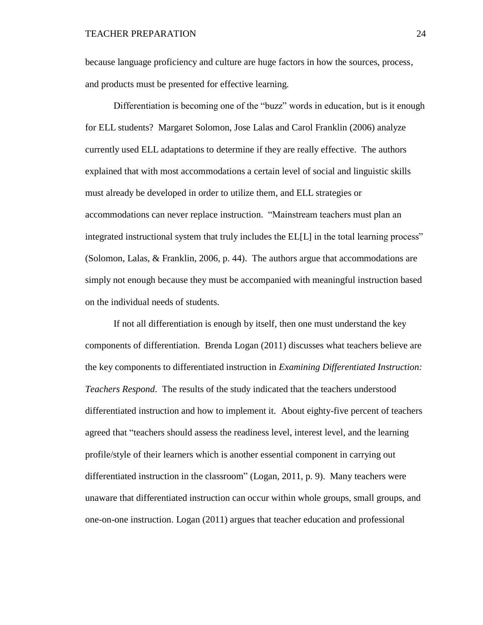because language proficiency and culture are huge factors in how the sources, process, and products must be presented for effective learning.

Differentiation is becoming one of the "buzz" words in education, but is it enough for ELL students? Margaret Solomon, Jose Lalas and Carol Franklin (2006) analyze currently used ELL adaptations to determine if they are really effective. The authors explained that with most accommodations a certain level of social and linguistic skills must already be developed in order to utilize them, and ELL strategies or accommodations can never replace instruction. "Mainstream teachers must plan an integrated instructional system that truly includes the EL[L] in the total learning process" (Solomon, Lalas, & Franklin, 2006, p. 44). The authors argue that accommodations are simply not enough because they must be accompanied with meaningful instruction based on the individual needs of students.

If not all differentiation is enough by itself, then one must understand the key components of differentiation. Brenda Logan (2011) discusses what teachers believe are the key components to differentiated instruction in *Examining Differentiated Instruction: Teachers Respond*. The results of the study indicated that the teachers understood differentiated instruction and how to implement it. About eighty-five percent of teachers agreed that "teachers should assess the readiness level, interest level, and the learning profile/style of their learners which is another essential component in carrying out differentiated instruction in the classroom" (Logan, 2011, p. 9). Many teachers were unaware that differentiated instruction can occur within whole groups, small groups, and one-on-one instruction. Logan (2011) argues that teacher education and professional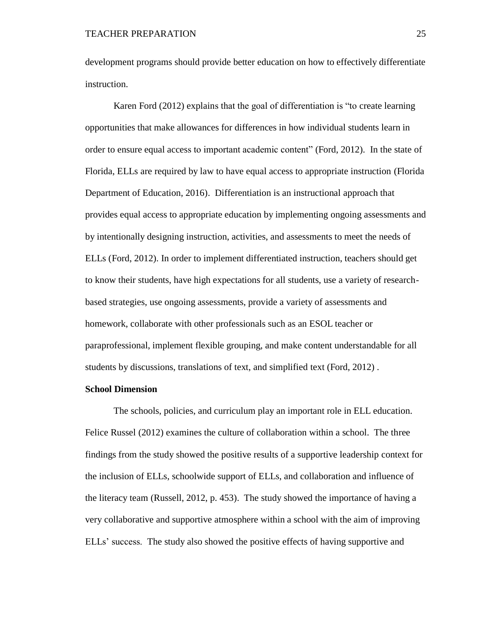development programs should provide better education on how to effectively differentiate instruction.

Karen Ford (2012) explains that the goal of differentiation is "to create learning opportunities that make allowances for differences in how individual students learn in order to ensure equal access to important academic content" (Ford, 2012). In the state of Florida, ELLs are required by law to have equal access to appropriate instruction (Florida Department of Education, 2016). Differentiation is an instructional approach that provides equal access to appropriate education by implementing ongoing assessments and by intentionally designing instruction, activities, and assessments to meet the needs of ELLs (Ford, 2012). In order to implement differentiated instruction, teachers should get to know their students, have high expectations for all students, use a variety of researchbased strategies, use ongoing assessments, provide a variety of assessments and homework, collaborate with other professionals such as an ESOL teacher or paraprofessional, implement flexible grouping, and make content understandable for all students by discussions, translations of text, and simplified text (Ford, 2012) .

#### **School Dimension**

The schools, policies, and curriculum play an important role in ELL education. Felice Russel (2012) examines the culture of collaboration within a school. The three findings from the study showed the positive results of a supportive leadership context for the inclusion of ELLs, schoolwide support of ELLs, and collaboration and influence of the literacy team (Russell, 2012, p. 453). The study showed the importance of having a very collaborative and supportive atmosphere within a school with the aim of improving ELLs' success. The study also showed the positive effects of having supportive and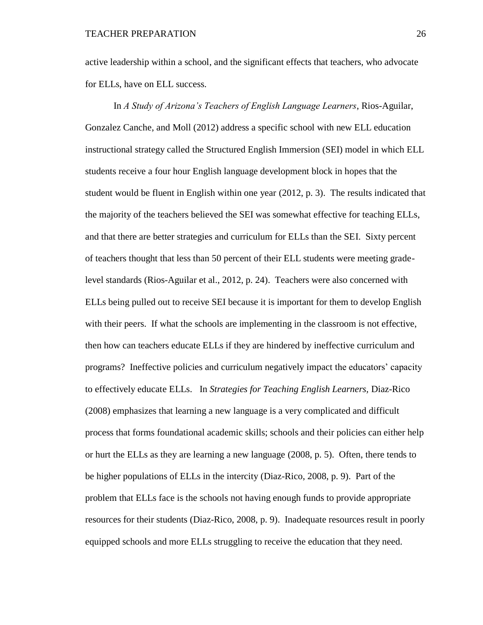active leadership within a school, and the significant effects that teachers, who advocate for ELLs, have on ELL success.

In *A Study of Arizona's Teachers of English Language Learners*, Rios-Aguilar, Gonzalez Canche, and Moll (2012) address a specific school with new ELL education instructional strategy called the Structured English Immersion (SEI) model in which ELL students receive a four hour English language development block in hopes that the student would be fluent in English within one year (2012, p. 3). The results indicated that the majority of the teachers believed the SEI was somewhat effective for teaching ELLs, and that there are better strategies and curriculum for ELLs than the SEI. Sixty percent of teachers thought that less than 50 percent of their ELL students were meeting gradelevel standards (Rios-Aguilar et al., 2012, p. 24). Teachers were also concerned with ELLs being pulled out to receive SEI because it is important for them to develop English with their peers. If what the schools are implementing in the classroom is not effective, then how can teachers educate ELLs if they are hindered by ineffective curriculum and programs? Ineffective policies and curriculum negatively impact the educators' capacity to effectively educate ELLs. In *Strategies for Teaching English Learners,* Diaz-Rico (2008) emphasizes that learning a new language is a very complicated and difficult process that forms foundational academic skills; schools and their policies can either help or hurt the ELLs as they are learning a new language (2008, p. 5). Often, there tends to be higher populations of ELLs in the intercity (Diaz-Rico, 2008, p. 9). Part of the problem that ELLs face is the schools not having enough funds to provide appropriate resources for their students (Diaz-Rico, 2008, p. 9). Inadequate resources result in poorly equipped schools and more ELLs struggling to receive the education that they need.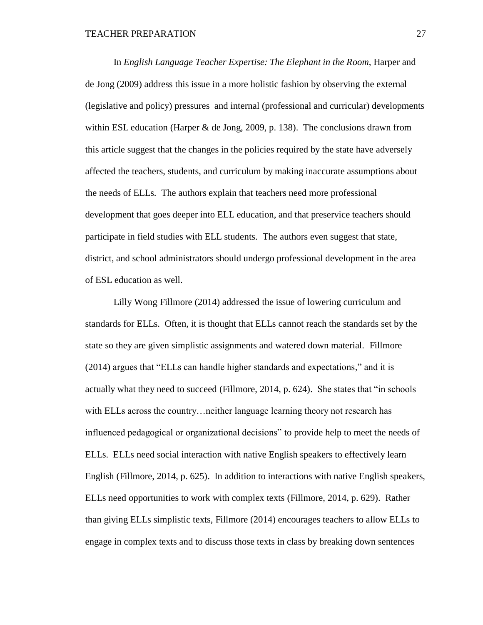In *English Language Teacher Expertise: The Elephant in the Room*, Harper and de Jong (2009) address this issue in a more holistic fashion by observing the external (legislative and policy) pressures and internal (professional and curricular) developments within ESL education (Harper  $\&$  de Jong, 2009, p. 138). The conclusions drawn from this article suggest that the changes in the policies required by the state have adversely affected the teachers, students, and curriculum by making inaccurate assumptions about the needs of ELLs. The authors explain that teachers need more professional development that goes deeper into ELL education, and that preservice teachers should participate in field studies with ELL students. The authors even suggest that state, district, and school administrators should undergo professional development in the area of ESL education as well.

Lilly Wong Fillmore (2014) addressed the issue of lowering curriculum and standards for ELLs. Often, it is thought that ELLs cannot reach the standards set by the state so they are given simplistic assignments and watered down material. Fillmore (2014) argues that "ELLs can handle higher standards and expectations," and it is actually what they need to succeed (Fillmore, 2014, p. 624). She states that "in schools with ELLs across the country…neither language learning theory not research has influenced pedagogical or organizational decisions" to provide help to meet the needs of ELLs. ELLs need social interaction with native English speakers to effectively learn English (Fillmore, 2014, p. 625). In addition to interactions with native English speakers, ELLs need opportunities to work with complex texts (Fillmore, 2014, p. 629). Rather than giving ELLs simplistic texts, Fillmore (2014) encourages teachers to allow ELLs to engage in complex texts and to discuss those texts in class by breaking down sentences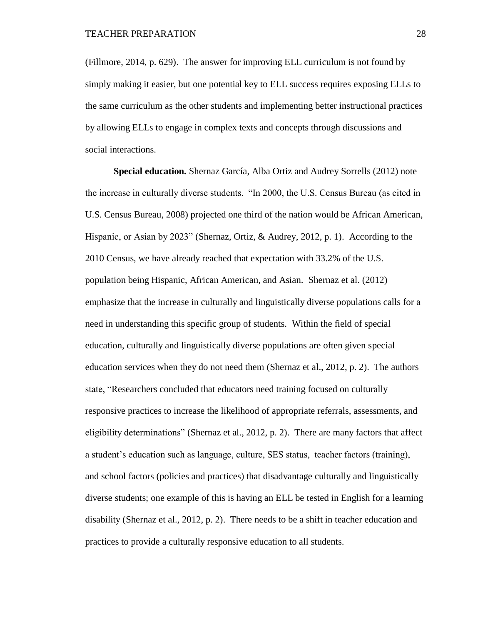(Fillmore, 2014, p. 629). The answer for improving ELL curriculum is not found by simply making it easier, but one potential key to ELL success requires exposing ELLs to the same curriculum as the other students and implementing better instructional practices by allowing ELLs to engage in complex texts and concepts through discussions and social interactions.

**Special education.** Shernaz García, Alba Ortiz and Audrey Sorrells (2012) note the increase in culturally diverse students. "In 2000, the U.S. Census Bureau (as cited in U.S. Census Bureau, 2008) projected one third of the nation would be African American, Hispanic, or Asian by 2023" (Shernaz, Ortiz, & Audrey, 2012, p. 1). According to the 2010 Census, we have already reached that expectation with 33.2% of the U.S. population being Hispanic, African American, and Asian. Shernaz et al. (2012) emphasize that the increase in culturally and linguistically diverse populations calls for a need in understanding this specific group of students. Within the field of special education, culturally and linguistically diverse populations are often given special education services when they do not need them (Shernaz et al., 2012, p. 2). The authors state, "Researchers concluded that educators need training focused on culturally responsive practices to increase the likelihood of appropriate referrals, assessments, and eligibility determinations" (Shernaz et al., 2012, p. 2). There are many factors that affect a student's education such as language, culture, SES status, teacher factors (training), and school factors (policies and practices) that disadvantage culturally and linguistically diverse students; one example of this is having an ELL be tested in English for a learning disability (Shernaz et al., 2012, p. 2). There needs to be a shift in teacher education and practices to provide a culturally responsive education to all students.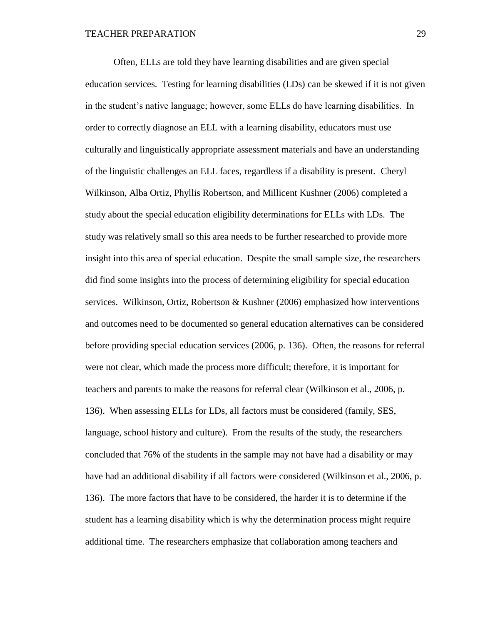Often, ELLs are told they have learning disabilities and are given special education services. Testing for learning disabilities (LDs) can be skewed if it is not given in the student's native language; however, some ELLs do have learning disabilities. In order to correctly diagnose an ELL with a learning disability, educators must use culturally and linguistically appropriate assessment materials and have an understanding of the linguistic challenges an ELL faces, regardless if a disability is present. Cheryl Wilkinson, Alba Ortiz, Phyllis Robertson, and Millicent Kushner (2006) completed a study about the special education eligibility determinations for ELLs with LDs. The study was relatively small so this area needs to be further researched to provide more insight into this area of special education. Despite the small sample size, the researchers did find some insights into the process of determining eligibility for special education services. Wilkinson, Ortiz, Robertson & Kushner (2006) emphasized how interventions and outcomes need to be documented so general education alternatives can be considered before providing special education services (2006, p. 136). Often, the reasons for referral were not clear, which made the process more difficult; therefore, it is important for teachers and parents to make the reasons for referral clear (Wilkinson et al., 2006, p. 136). When assessing ELLs for LDs, all factors must be considered (family, SES, language, school history and culture). From the results of the study, the researchers concluded that 76% of the students in the sample may not have had a disability or may have had an additional disability if all factors were considered (Wilkinson et al., 2006, p. 136). The more factors that have to be considered, the harder it is to determine if the student has a learning disability which is why the determination process might require additional time. The researchers emphasize that collaboration among teachers and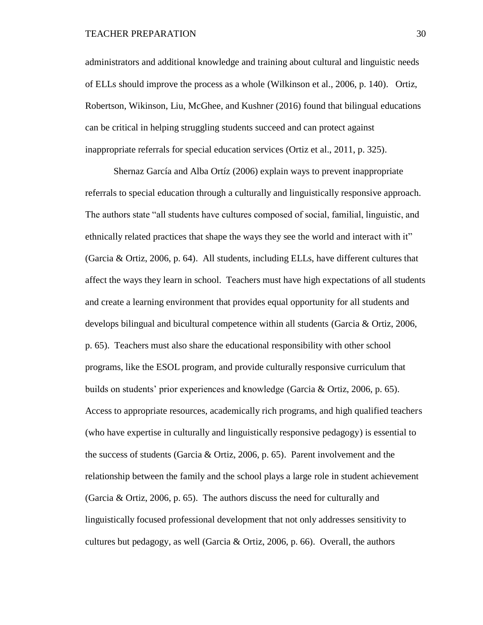administrators and additional knowledge and training about cultural and linguistic needs of ELLs should improve the process as a whole (Wilkinson et al., 2006, p. 140). Ortiz, Robertson, Wikinson, Liu, McGhee, and Kushner (2016) found that bilingual educations can be critical in helping struggling students succeed and can protect against inappropriate referrals for special education services (Ortiz et al., 2011, p. 325).

Shernaz García and Alba Ortíz (2006) explain ways to prevent inappropriate referrals to special education through a culturally and linguistically responsive approach. The authors state "all students have cultures composed of social, familial, linguistic, and ethnically related practices that shape the ways they see the world and interact with it" (Garcia & Ortiz, 2006, p. 64). All students, including ELLs, have different cultures that affect the ways they learn in school. Teachers must have high expectations of all students and create a learning environment that provides equal opportunity for all students and develops bilingual and bicultural competence within all students (Garcia & Ortiz, 2006, p. 65). Teachers must also share the educational responsibility with other school programs, like the ESOL program, and provide culturally responsive curriculum that builds on students' prior experiences and knowledge (Garcia & Ortiz, 2006, p. 65). Access to appropriate resources, academically rich programs, and high qualified teachers (who have expertise in culturally and linguistically responsive pedagogy) is essential to the success of students (Garcia & Ortiz, 2006, p. 65). Parent involvement and the relationship between the family and the school plays a large role in student achievement (Garcia & Ortiz, 2006, p. 65). The authors discuss the need for culturally and linguistically focused professional development that not only addresses sensitivity to cultures but pedagogy, as well (Garcia & Ortiz, 2006, p. 66). Overall, the authors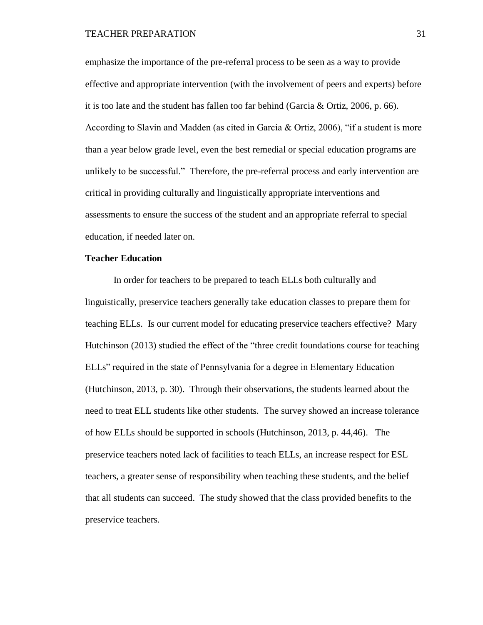emphasize the importance of the pre-referral process to be seen as a way to provide effective and appropriate intervention (with the involvement of peers and experts) before it is too late and the student has fallen too far behind (Garcia & Ortiz, 2006, p. 66). According to Slavin and Madden (as cited in Garcia & Ortiz, 2006), "if a student is more than a year below grade level, even the best remedial or special education programs are unlikely to be successful." Therefore, the pre-referral process and early intervention are critical in providing culturally and linguistically appropriate interventions and assessments to ensure the success of the student and an appropriate referral to special education, if needed later on.

### **Teacher Education**

In order for teachers to be prepared to teach ELLs both culturally and linguistically, preservice teachers generally take education classes to prepare them for teaching ELLs. Is our current model for educating preservice teachers effective? Mary Hutchinson (2013) studied the effect of the "three credit foundations course for teaching ELLs" required in the state of Pennsylvania for a degree in Elementary Education (Hutchinson, 2013, p. 30). Through their observations, the students learned about the need to treat ELL students like other students. The survey showed an increase tolerance of how ELLs should be supported in schools (Hutchinson, 2013, p. 44,46). The preservice teachers noted lack of facilities to teach ELLs, an increase respect for ESL teachers, a greater sense of responsibility when teaching these students, and the belief that all students can succeed. The study showed that the class provided benefits to the preservice teachers.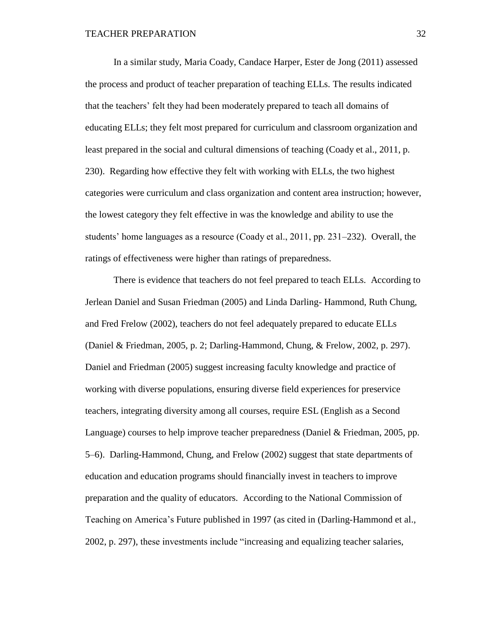In a similar study, Maria Coady, Candace Harper, Ester de Jong (2011) assessed the process and product of teacher preparation of teaching ELLs. The results indicated that the teachers' felt they had been moderately prepared to teach all domains of educating ELLs; they felt most prepared for curriculum and classroom organization and least prepared in the social and cultural dimensions of teaching (Coady et al., 2011, p. 230). Regarding how effective they felt with working with ELLs, the two highest categories were curriculum and class organization and content area instruction; however, the lowest category they felt effective in was the knowledge and ability to use the students' home languages as a resource (Coady et al., 2011, pp. 231–232). Overall, the ratings of effectiveness were higher than ratings of preparedness.

There is evidence that teachers do not feel prepared to teach ELLs. According to Jerlean Daniel and Susan Friedman (2005) and Linda Darling- Hammond, Ruth Chung, and Fred Frelow (2002), teachers do not feel adequately prepared to educate ELLs (Daniel & Friedman, 2005, p. 2; Darling-Hammond, Chung, & Frelow, 2002, p. 297). Daniel and Friedman (2005) suggest increasing faculty knowledge and practice of working with diverse populations, ensuring diverse field experiences for preservice teachers, integrating diversity among all courses, require ESL (English as a Second Language) courses to help improve teacher preparedness (Daniel & Friedman, 2005, pp. 5–6). Darling-Hammond, Chung, and Frelow (2002) suggest that state departments of education and education programs should financially invest in teachers to improve preparation and the quality of educators. According to the National Commission of Teaching on America's Future published in 1997 (as cited in (Darling-Hammond et al., 2002, p. 297), these investments include "increasing and equalizing teacher salaries,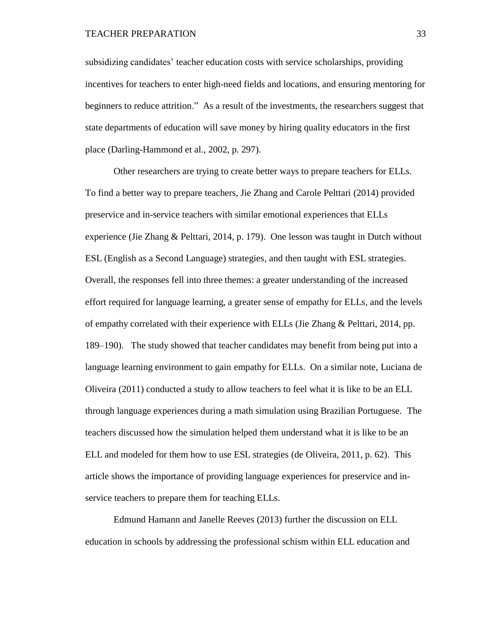TEACHER PREPARATION 33

subsidizing candidates' teacher education costs with service scholarships, providing incentives for teachers to enter high-need fields and locations, and ensuring mentoring for beginners to reduce attrition." As a result of the investments, the researchers suggest that state departments of education will save money by hiring quality educators in the first place (Darling-Hammond et al., 2002, p. 297).

Other researchers are trying to create better ways to prepare teachers for ELLs. To find a better way to prepare teachers, Jie Zhang and Carole Pelttari (2014) provided preservice and in-service teachers with similar emotional experiences that ELLs experience (Jie Zhang & Pelttari, 2014, p. 179). One lesson was taught in Dutch without ESL (English as a Second Language) strategies, and then taught with ESL strategies. Overall, the responses fell into three themes: a greater understanding of the increased effort required for language learning, a greater sense of empathy for ELLs, and the levels of empathy correlated with their experience with ELLs (Jie Zhang & Pelttari, 2014, pp. 189–190). The study showed that teacher candidates may benefit from being put into a language learning environment to gain empathy for ELLs. On a similar note, Luciana de Oliveira (2011) conducted a study to allow teachers to feel what it is like to be an ELL through language experiences during a math simulation using Brazilian Portuguese. The teachers discussed how the simulation helped them understand what it is like to be an ELL and modeled for them how to use ESL strategies (de Oliveira, 2011, p. 62). This article shows the importance of providing language experiences for preservice and inservice teachers to prepare them for teaching ELLs.

Edmund Hamann and Janelle Reeves (2013) further the discussion on ELL education in schools by addressing the professional schism within ELL education and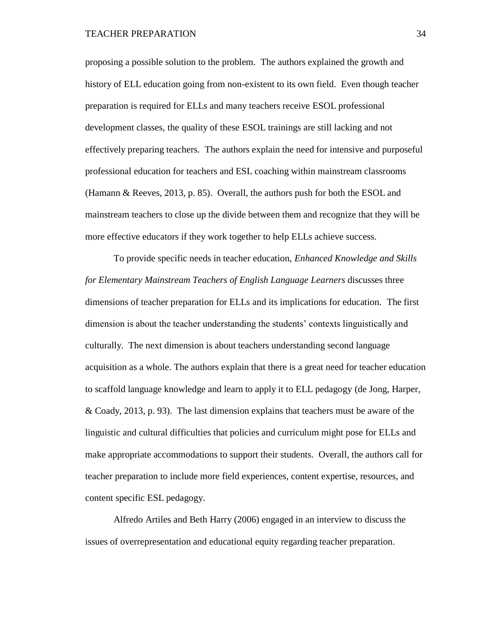proposing a possible solution to the problem. The authors explained the growth and history of ELL education going from non-existent to its own field. Even though teacher preparation is required for ELLs and many teachers receive ESOL professional development classes, the quality of these ESOL trainings are still lacking and not effectively preparing teachers. The authors explain the need for intensive and purposeful professional education for teachers and ESL coaching within mainstream classrooms (Hamann & Reeves, 2013, p. 85). Overall, the authors push for both the ESOL and mainstream teachers to close up the divide between them and recognize that they will be more effective educators if they work together to help ELLs achieve success.

To provide specific needs in teacher education, *Enhanced Knowledge and Skills for Elementary Mainstream Teachers of English Language Learners* discusses three dimensions of teacher preparation for ELLs and its implications for education. The first dimension is about the teacher understanding the students' contexts linguistically and culturally. The next dimension is about teachers understanding second language acquisition as a whole. The authors explain that there is a great need for teacher education to scaffold language knowledge and learn to apply it to ELL pedagogy (de Jong, Harper, & Coady, 2013, p. 93). The last dimension explains that teachers must be aware of the linguistic and cultural difficulties that policies and curriculum might pose for ELLs and make appropriate accommodations to support their students. Overall, the authors call for teacher preparation to include more field experiences, content expertise, resources, and content specific ESL pedagogy.

Alfredo Artiles and Beth Harry (2006) engaged in an interview to discuss the issues of overrepresentation and educational equity regarding teacher preparation.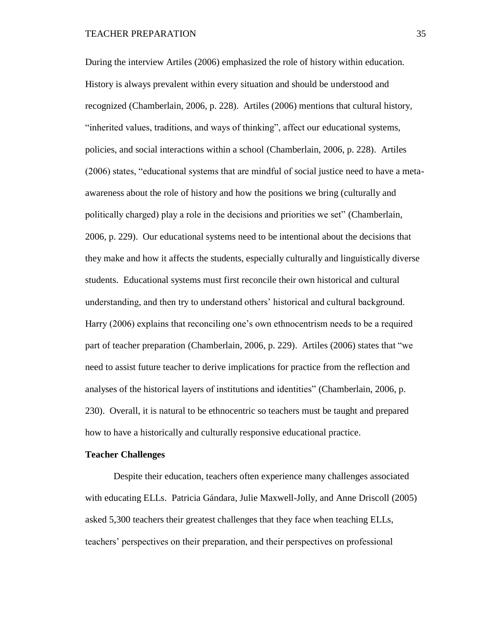During the interview Artiles (2006) emphasized the role of history within education. History is always prevalent within every situation and should be understood and recognized (Chamberlain, 2006, p. 228). Artiles (2006) mentions that cultural history, "inherited values, traditions, and ways of thinking", affect our educational systems, policies, and social interactions within a school (Chamberlain, 2006, p. 228). Artiles (2006) states, "educational systems that are mindful of social justice need to have a metaawareness about the role of history and how the positions we bring (culturally and politically charged) play a role in the decisions and priorities we set" (Chamberlain, 2006, p. 229). Our educational systems need to be intentional about the decisions that they make and how it affects the students, especially culturally and linguistically diverse students. Educational systems must first reconcile their own historical and cultural understanding, and then try to understand others' historical and cultural background. Harry (2006) explains that reconciling one's own ethnocentrism needs to be a required part of teacher preparation (Chamberlain, 2006, p. 229). Artiles (2006) states that "we need to assist future teacher to derive implications for practice from the reflection and analyses of the historical layers of institutions and identities" (Chamberlain, 2006, p. 230). Overall, it is natural to be ethnocentric so teachers must be taught and prepared how to have a historically and culturally responsive educational practice.

### **Teacher Challenges**

Despite their education, teachers often experience many challenges associated with educating ELLs. Patricia Gándara, Julie Maxwell-Jolly, and Anne Driscoll (2005) asked 5,300 teachers their greatest challenges that they face when teaching ELLs, teachers' perspectives on their preparation, and their perspectives on professional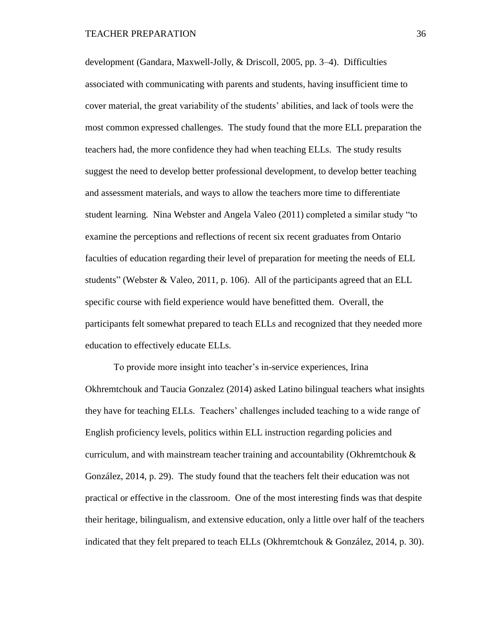development (Gandara, Maxwell-Jolly, & Driscoll, 2005, pp. 3–4). Difficulties associated with communicating with parents and students, having insufficient time to cover material, the great variability of the students' abilities, and lack of tools were the most common expressed challenges. The study found that the more ELL preparation the teachers had, the more confidence they had when teaching ELLs. The study results suggest the need to develop better professional development, to develop better teaching and assessment materials, and ways to allow the teachers more time to differentiate student learning. Nina Webster and Angela Valeo (2011) completed a similar study "to examine the perceptions and reflections of recent six recent graduates from Ontario faculties of education regarding their level of preparation for meeting the needs of ELL students" (Webster & Valeo, 2011, p. 106). All of the participants agreed that an ELL specific course with field experience would have benefitted them. Overall, the participants felt somewhat prepared to teach ELLs and recognized that they needed more education to effectively educate ELLs.

To provide more insight into teacher's in-service experiences, Irina Okhremtchouk and Taucia Gonzalez (2014) asked Latino bilingual teachers what insights they have for teaching ELLs. Teachers' challenges included teaching to a wide range of English proficiency levels, politics within ELL instruction regarding policies and curriculum, and with mainstream teacher training and accountability (Okhremtchouk  $\&$ González, 2014, p. 29). The study found that the teachers felt their education was not practical or effective in the classroom. One of the most interesting finds was that despite their heritage, bilingualism, and extensive education, only a little over half of the teachers indicated that they felt prepared to teach ELLs (Okhremtchouk & González, 2014, p. 30).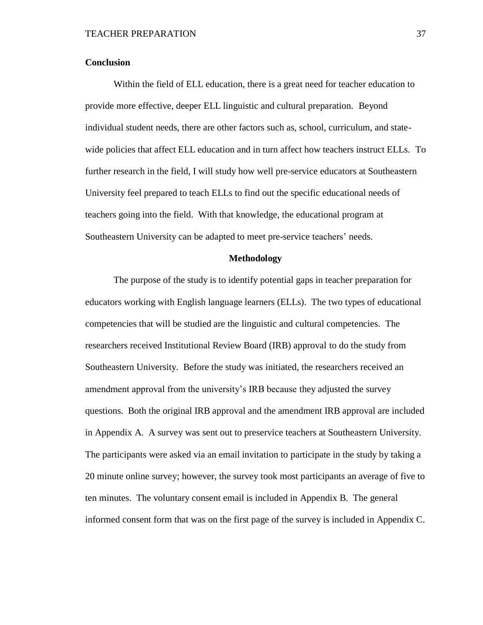## **Conclusion**

Within the field of ELL education, there is a great need for teacher education to provide more effective, deeper ELL linguistic and cultural preparation. Beyond individual student needs, there are other factors such as, school, curriculum, and statewide policies that affect ELL education and in turn affect how teachers instruct ELLs. To further research in the field, I will study how well pre-service educators at Southeastern University feel prepared to teach ELLs to find out the specific educational needs of teachers going into the field. With that knowledge, the educational program at Southeastern University can be adapted to meet pre-service teachers' needs.

## **Methodology**

The purpose of the study is to identify potential gaps in teacher preparation for educators working with English language learners (ELLs). The two types of educational competencies that will be studied are the linguistic and cultural competencies. The researchers received Institutional Review Board (IRB) approval to do the study from Southeastern University. Before the study was initiated, the researchers received an amendment approval from the university's IRB because they adjusted the survey questions. Both the original IRB approval and the amendment IRB approval are included in Appendix A. A survey was sent out to preservice teachers at Southeastern University. The participants were asked via an email invitation to participate in the study by taking a 20 minute online survey; however, the survey took most participants an average of five to ten minutes. The voluntary consent email is included in Appendix B. The general informed consent form that was on the first page of the survey is included in Appendix C.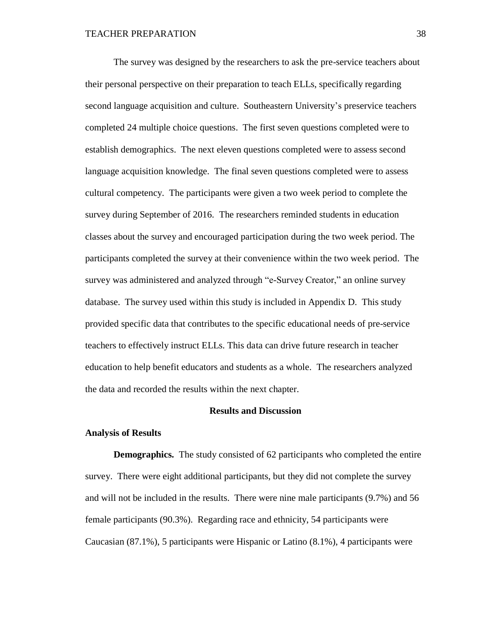The survey was designed by the researchers to ask the pre-service teachers about their personal perspective on their preparation to teach ELLs, specifically regarding second language acquisition and culture. Southeastern University's preservice teachers completed 24 multiple choice questions. The first seven questions completed were to establish demographics. The next eleven questions completed were to assess second language acquisition knowledge. The final seven questions completed were to assess cultural competency. The participants were given a two week period to complete the survey during September of 2016. The researchers reminded students in education classes about the survey and encouraged participation during the two week period. The participants completed the survey at their convenience within the two week period. The survey was administered and analyzed through "e-Survey Creator," an online survey database. The survey used within this study is included in Appendix D. This study provided specific data that contributes to the specific educational needs of pre-service teachers to effectively instruct ELLs. This data can drive future research in teacher education to help benefit educators and students as a whole. The researchers analyzed the data and recorded the results within the next chapter.

### **Results and Discussion**

#### **Analysis of Results**

**Demographics.** The study consisted of 62 participants who completed the entire survey. There were eight additional participants, but they did not complete the survey and will not be included in the results. There were nine male participants (9.7%) and 56 female participants (90.3%). Regarding race and ethnicity, 54 participants were Caucasian (87.1%), 5 participants were Hispanic or Latino (8.1%), 4 participants were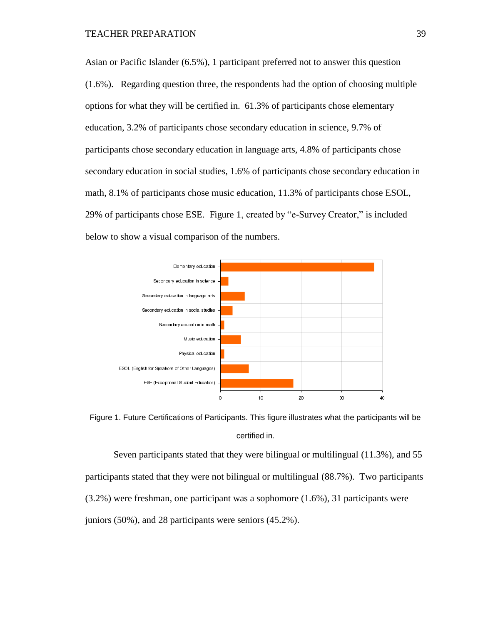Asian or Pacific Islander (6.5%), 1 participant preferred not to answer this question (1.6%). Regarding question three, the respondents had the option of choosing multiple options for what they will be certified in. 61.3% of participants chose elementary education, 3.2% of participants chose secondary education in science, 9.7% of participants chose secondary education in language arts, 4.8% of participants chose secondary education in social studies, 1.6% of participants chose secondary education in math, 8.1% of participants chose music education, 11.3% of participants chose ESOL, 29% of participants chose ESE. Figure 1, created by "e-Survey Creator," is included below to show a visual comparison of the numbers.



Figure 1. Future Certifications of Participants. This figure illustrates what the participants will be certified in.

Seven participants stated that they were bilingual or multilingual (11.3%), and 55 participants stated that they were not bilingual or multilingual (88.7%). Two participants (3.2%) were freshman, one participant was a sophomore (1.6%), 31 participants were juniors (50%), and 28 participants were seniors (45.2%).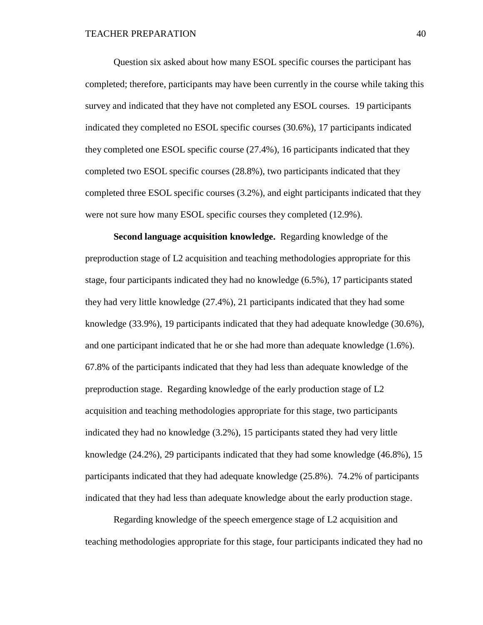Question six asked about how many ESOL specific courses the participant has completed; therefore, participants may have been currently in the course while taking this survey and indicated that they have not completed any ESOL courses. 19 participants indicated they completed no ESOL specific courses (30.6%), 17 participants indicated they completed one ESOL specific course (27.4%), 16 participants indicated that they completed two ESOL specific courses (28.8%), two participants indicated that they completed three ESOL specific courses (3.2%), and eight participants indicated that they were not sure how many ESOL specific courses they completed (12.9%).

**Second language acquisition knowledge.** Regarding knowledge of the preproduction stage of L2 acquisition and teaching methodologies appropriate for this stage, four participants indicated they had no knowledge (6.5%), 17 participants stated they had very little knowledge (27.4%), 21 participants indicated that they had some knowledge (33.9%), 19 participants indicated that they had adequate knowledge (30.6%), and one participant indicated that he or she had more than adequate knowledge (1.6%). 67.8% of the participants indicated that they had less than adequate knowledge of the preproduction stage. Regarding knowledge of the early production stage of L2 acquisition and teaching methodologies appropriate for this stage, two participants indicated they had no knowledge (3.2%), 15 participants stated they had very little knowledge (24.2%), 29 participants indicated that they had some knowledge (46.8%), 15 participants indicated that they had adequate knowledge (25.8%). 74.2% of participants indicated that they had less than adequate knowledge about the early production stage.

Regarding knowledge of the speech emergence stage of L2 acquisition and teaching methodologies appropriate for this stage, four participants indicated they had no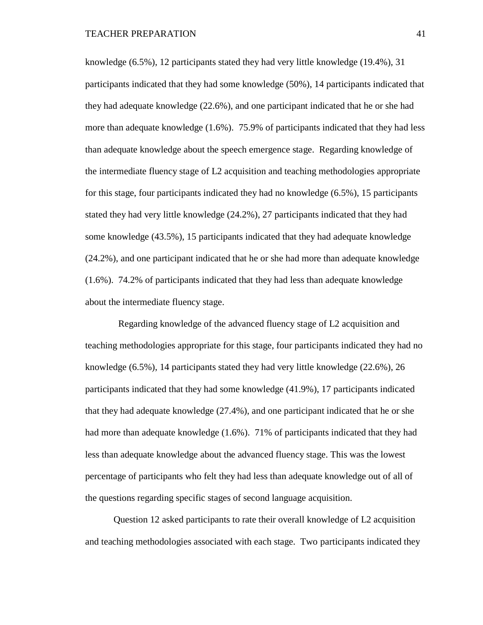knowledge (6.5%), 12 participants stated they had very little knowledge (19.4%), 31 participants indicated that they had some knowledge (50%), 14 participants indicated that they had adequate knowledge (22.6%), and one participant indicated that he or she had more than adequate knowledge (1.6%). 75.9% of participants indicated that they had less than adequate knowledge about the speech emergence stage. Regarding knowledge of the intermediate fluency stage of L2 acquisition and teaching methodologies appropriate for this stage, four participants indicated they had no knowledge (6.5%), 15 participants stated they had very little knowledge (24.2%), 27 participants indicated that they had some knowledge (43.5%), 15 participants indicated that they had adequate knowledge (24.2%), and one participant indicated that he or she had more than adequate knowledge (1.6%). 74.2% of participants indicated that they had less than adequate knowledge about the intermediate fluency stage.

Regarding knowledge of the advanced fluency stage of L2 acquisition and teaching methodologies appropriate for this stage, four participants indicated they had no knowledge (6.5%), 14 participants stated they had very little knowledge (22.6%), 26 participants indicated that they had some knowledge (41.9%), 17 participants indicated that they had adequate knowledge (27.4%), and one participant indicated that he or she had more than adequate knowledge (1.6%). 71% of participants indicated that they had less than adequate knowledge about the advanced fluency stage. This was the lowest percentage of participants who felt they had less than adequate knowledge out of all of the questions regarding specific stages of second language acquisition.

Question 12 asked participants to rate their overall knowledge of L2 acquisition and teaching methodologies associated with each stage. Two participants indicated they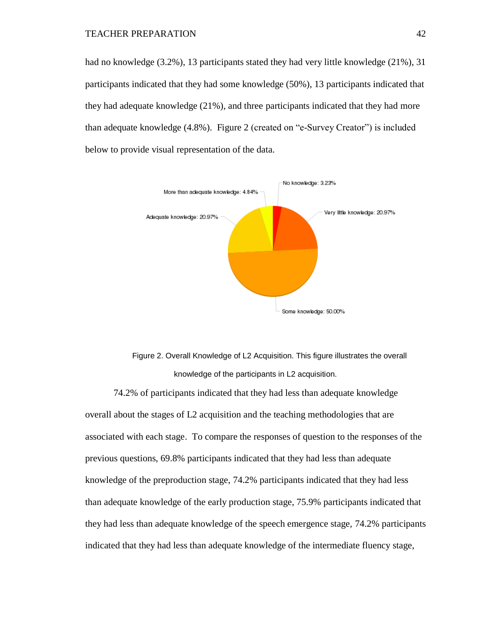had no knowledge (3.2%), 13 participants stated they had very little knowledge (21%), 31 participants indicated that they had some knowledge (50%), 13 participants indicated that they had adequate knowledge (21%), and three participants indicated that they had more than adequate knowledge (4.8%). Figure 2 (created on "e-Survey Creator") is included below to provide visual representation of the data.



Figure 2. Overall Knowledge of L2 Acquisition. This figure illustrates the overall knowledge of the participants in L2 acquisition.

74.2% of participants indicated that they had less than adequate knowledge overall about the stages of L2 acquisition and the teaching methodologies that are associated with each stage. To compare the responses of question to the responses of the previous questions, 69.8% participants indicated that they had less than adequate knowledge of the preproduction stage, 74.2% participants indicated that they had less than adequate knowledge of the early production stage, 75.9% participants indicated that they had less than adequate knowledge of the speech emergence stage, 74.2% participants indicated that they had less than adequate knowledge of the intermediate fluency stage,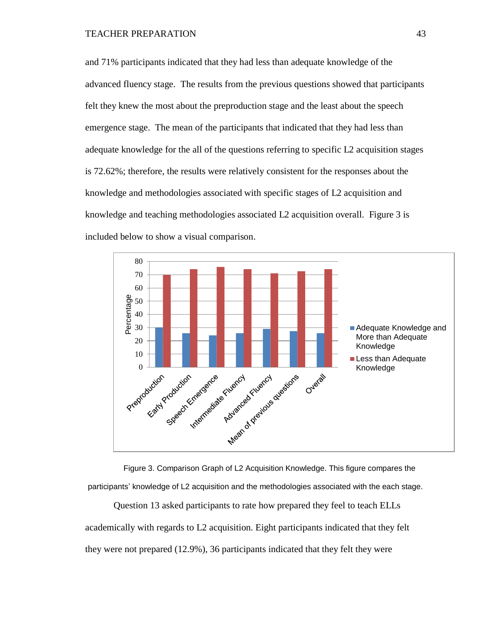and 71% participants indicated that they had less than adequate knowledge of the advanced fluency stage. The results from the previous questions showed that participants felt they knew the most about the preproduction stage and the least about the speech emergence stage. The mean of the participants that indicated that they had less than adequate knowledge for the all of the questions referring to specific L2 acquisition stages is 72.62%; therefore, the results were relatively consistent for the responses about the knowledge and methodologies associated with specific stages of L2 acquisition and knowledge and teaching methodologies associated L2 acquisition overall. Figure 3 is included below to show a visual comparison.



Figure 3. Comparison Graph of L2 Acquisition Knowledge. This figure compares the participants' knowledge of L2 acquisition and the methodologies associated with the each stage.

Question 13 asked participants to rate how prepared they feel to teach ELLs academically with regards to L2 acquisition. Eight participants indicated that they felt they were not prepared (12.9%), 36 participants indicated that they felt they were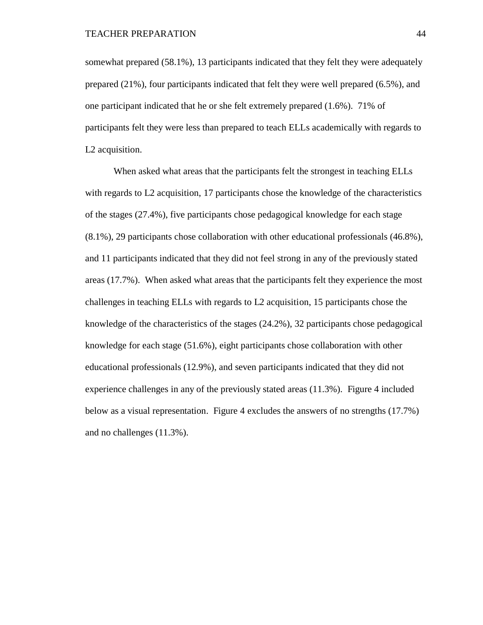somewhat prepared (58.1%), 13 participants indicated that they felt they were adequately prepared (21%), four participants indicated that felt they were well prepared (6.5%), and one participant indicated that he or she felt extremely prepared (1.6%). 71% of participants felt they were less than prepared to teach ELLs academically with regards to L2 acquisition.

When asked what areas that the participants felt the strongest in teaching ELLs with regards to L2 acquisition, 17 participants chose the knowledge of the characteristics of the stages (27.4%), five participants chose pedagogical knowledge for each stage (8.1%), 29 participants chose collaboration with other educational professionals (46.8%), and 11 participants indicated that they did not feel strong in any of the previously stated areas (17.7%). When asked what areas that the participants felt they experience the most challenges in teaching ELLs with regards to L2 acquisition, 15 participants chose the knowledge of the characteristics of the stages (24.2%), 32 participants chose pedagogical knowledge for each stage (51.6%), eight participants chose collaboration with other educational professionals (12.9%), and seven participants indicated that they did not experience challenges in any of the previously stated areas (11.3%). Figure 4 included below as a visual representation. Figure 4 excludes the answers of no strengths (17.7%) and no challenges (11.3%).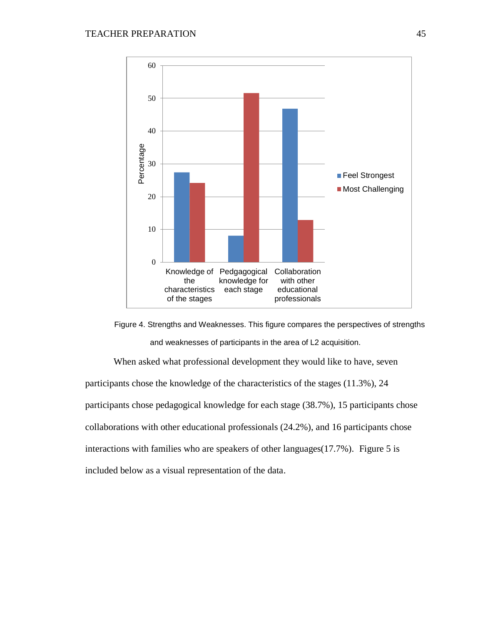



When asked what professional development they would like to have, seven participants chose the knowledge of the characteristics of the stages (11.3%), 24 participants chose pedagogical knowledge for each stage (38.7%), 15 participants chose collaborations with other educational professionals (24.2%), and 16 participants chose interactions with families who are speakers of other languages(17.7%). Figure 5 is included below as a visual representation of the data.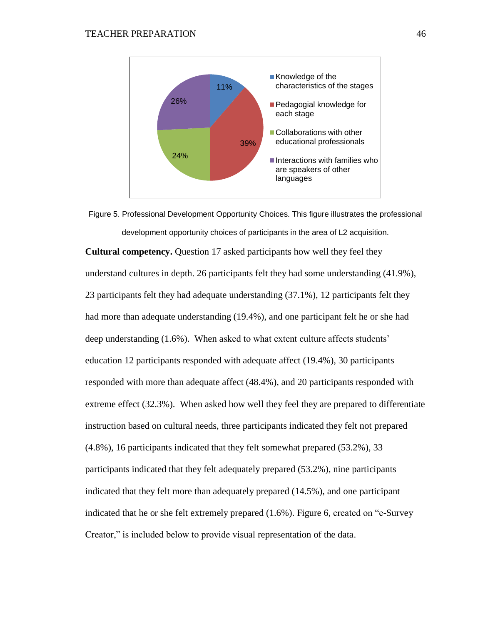

Figure 5. Professional Development Opportunity Choices. This figure illustrates the professional development opportunity choices of participants in the area of L2 acquisition.

**Cultural competency.** Question 17 asked participants how well they feel they understand cultures in depth. 26 participants felt they had some understanding (41.9%), 23 participants felt they had adequate understanding (37.1%), 12 participants felt they had more than adequate understanding (19.4%), and one participant felt he or she had deep understanding (1.6%). When asked to what extent culture affects students' education 12 participants responded with adequate affect (19.4%), 30 participants responded with more than adequate affect (48.4%), and 20 participants responded with extreme effect (32.3%). When asked how well they feel they are prepared to differentiate instruction based on cultural needs, three participants indicated they felt not prepared (4.8%), 16 participants indicated that they felt somewhat prepared (53.2%), 33 participants indicated that they felt adequately prepared (53.2%), nine participants indicated that they felt more than adequately prepared (14.5%), and one participant indicated that he or she felt extremely prepared (1.6%). Figure 6, created on "e-Survey Creator," is included below to provide visual representation of the data.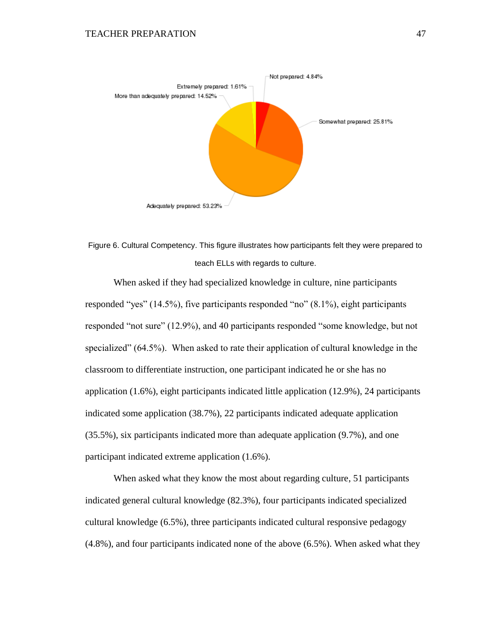

Figure 6. Cultural Competency. This figure illustrates how participants felt they were prepared to teach ELLs with regards to culture.

When asked if they had specialized knowledge in culture, nine participants responded "yes" (14.5%), five participants responded "no" (8.1%), eight participants responded "not sure" (12.9%), and 40 participants responded "some knowledge, but not specialized" (64.5%). When asked to rate their application of cultural knowledge in the classroom to differentiate instruction, one participant indicated he or she has no application (1.6%), eight participants indicated little application (12.9%), 24 participants indicated some application (38.7%), 22 participants indicated adequate application (35.5%), six participants indicated more than adequate application (9.7%), and one participant indicated extreme application (1.6%).

When asked what they know the most about regarding culture, 51 participants indicated general cultural knowledge (82.3%), four participants indicated specialized cultural knowledge (6.5%), three participants indicated cultural responsive pedagogy (4.8%), and four participants indicated none of the above (6.5%). When asked what they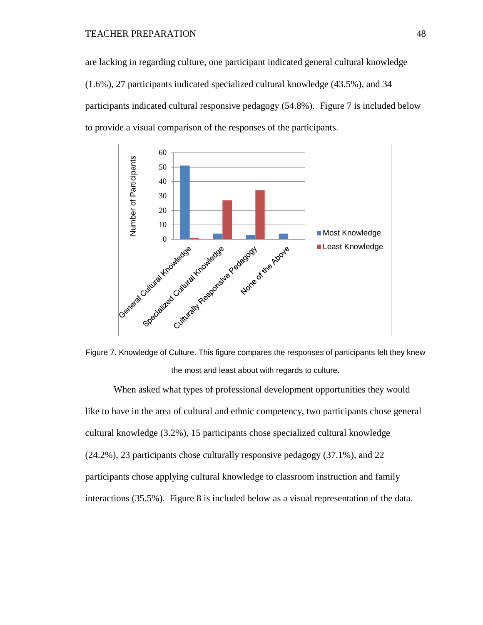### TEACHER PREPARATION 48

are lacking in regarding culture, one participant indicated general cultural knowledge (1.6%), 27 participants indicated specialized cultural knowledge (43.5%), and 34 participants indicated cultural responsive pedagogy (54.8%). Figure 7 is included below to provide a visual comparison of the responses of the participants.



Figure 7. Knowledge of Culture. This figure compares the responses of participants felt they knew the most and least about with regards to culture.

When asked what types of professional development opportunities they would like to have in the area of cultural and ethnic competency, two participants chose general cultural knowledge (3.2%), 15 participants chose specialized cultural knowledge (24.2%), 23 participants chose culturally responsive pedagogy (37.1%), and 22 participants chose applying cultural knowledge to classroom instruction and family interactions (35.5%). Figure 8 is included below as a visual representation of the data.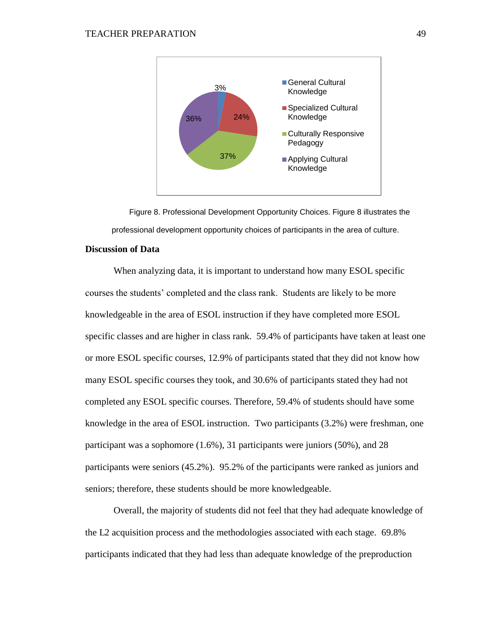

Figure 8. Professional Development Opportunity Choices. Figure 8 illustrates the professional development opportunity choices of participants in the area of culture.

## **Discussion of Data**

When analyzing data, it is important to understand how many ESOL specific courses the students' completed and the class rank. Students are likely to be more knowledgeable in the area of ESOL instruction if they have completed more ESOL specific classes and are higher in class rank. 59.4% of participants have taken at least one or more ESOL specific courses, 12.9% of participants stated that they did not know how many ESOL specific courses they took, and 30.6% of participants stated they had not completed any ESOL specific courses. Therefore, 59.4% of students should have some knowledge in the area of ESOL instruction. Two participants (3.2%) were freshman, one participant was a sophomore (1.6%), 31 participants were juniors (50%), and 28 participants were seniors (45.2%). 95.2% of the participants were ranked as juniors and seniors; therefore, these students should be more knowledgeable.

Overall, the majority of students did not feel that they had adequate knowledge of the L2 acquisition process and the methodologies associated with each stage. 69.8% participants indicated that they had less than adequate knowledge of the preproduction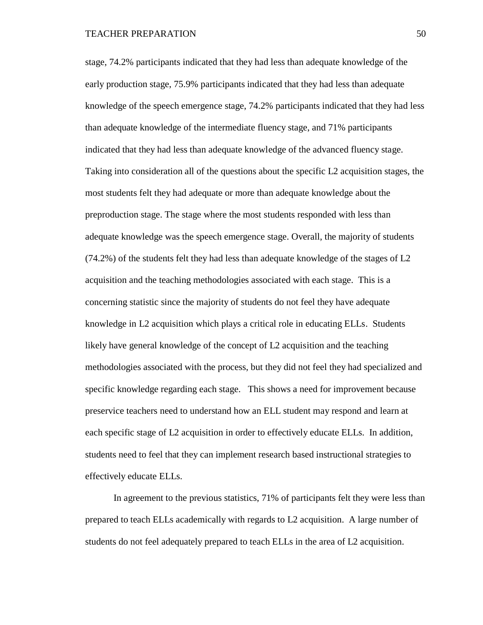stage, 74.2% participants indicated that they had less than adequate knowledge of the early production stage, 75.9% participants indicated that they had less than adequate knowledge of the speech emergence stage, 74.2% participants indicated that they had less than adequate knowledge of the intermediate fluency stage, and 71% participants indicated that they had less than adequate knowledge of the advanced fluency stage. Taking into consideration all of the questions about the specific L2 acquisition stages, the most students felt they had adequate or more than adequate knowledge about the preproduction stage. The stage where the most students responded with less than adequate knowledge was the speech emergence stage. Overall, the majority of students (74.2%) of the students felt they had less than adequate knowledge of the stages of L2 acquisition and the teaching methodologies associated with each stage. This is a concerning statistic since the majority of students do not feel they have adequate knowledge in L2 acquisition which plays a critical role in educating ELLs. Students likely have general knowledge of the concept of L2 acquisition and the teaching methodologies associated with the process, but they did not feel they had specialized and specific knowledge regarding each stage. This shows a need for improvement because preservice teachers need to understand how an ELL student may respond and learn at each specific stage of L2 acquisition in order to effectively educate ELLs. In addition, students need to feel that they can implement research based instructional strategies to effectively educate ELLs.

In agreement to the previous statistics, 71% of participants felt they were less than prepared to teach ELLs academically with regards to L2 acquisition. A large number of students do not feel adequately prepared to teach ELLs in the area of L2 acquisition.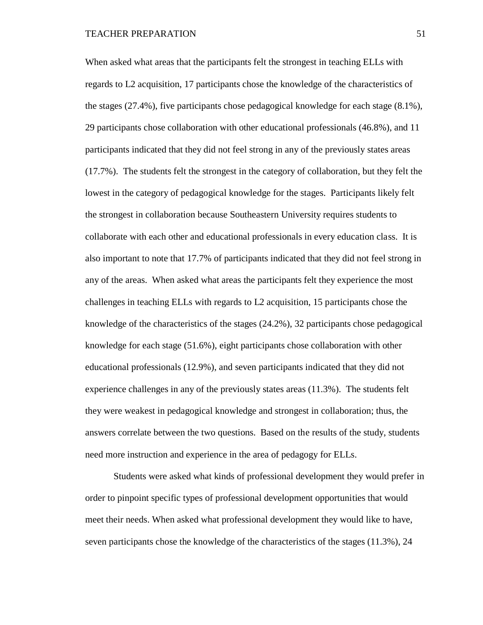When asked what areas that the participants felt the strongest in teaching ELLs with regards to L2 acquisition, 17 participants chose the knowledge of the characteristics of the stages (27.4%), five participants chose pedagogical knowledge for each stage (8.1%), 29 participants chose collaboration with other educational professionals (46.8%), and 11 participants indicated that they did not feel strong in any of the previously states areas (17.7%). The students felt the strongest in the category of collaboration, but they felt the lowest in the category of pedagogical knowledge for the stages. Participants likely felt the strongest in collaboration because Southeastern University requires students to collaborate with each other and educational professionals in every education class. It is also important to note that 17.7% of participants indicated that they did not feel strong in any of the areas. When asked what areas the participants felt they experience the most challenges in teaching ELLs with regards to L2 acquisition, 15 participants chose the knowledge of the characteristics of the stages (24.2%), 32 participants chose pedagogical knowledge for each stage (51.6%), eight participants chose collaboration with other educational professionals (12.9%), and seven participants indicated that they did not experience challenges in any of the previously states areas (11.3%). The students felt they were weakest in pedagogical knowledge and strongest in collaboration; thus, the answers correlate between the two questions. Based on the results of the study, students need more instruction and experience in the area of pedagogy for ELLs.

Students were asked what kinds of professional development they would prefer in order to pinpoint specific types of professional development opportunities that would meet their needs. When asked what professional development they would like to have, seven participants chose the knowledge of the characteristics of the stages (11.3%), 24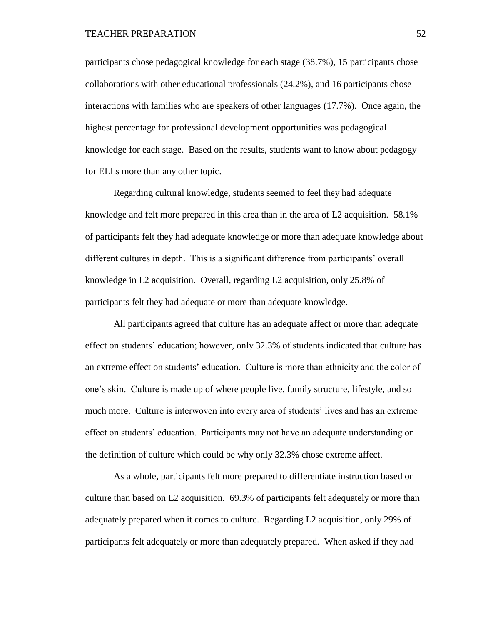participants chose pedagogical knowledge for each stage (38.7%), 15 participants chose collaborations with other educational professionals (24.2%), and 16 participants chose interactions with families who are speakers of other languages (17.7%). Once again, the highest percentage for professional development opportunities was pedagogical knowledge for each stage. Based on the results, students want to know about pedagogy for ELLs more than any other topic.

Regarding cultural knowledge, students seemed to feel they had adequate knowledge and felt more prepared in this area than in the area of L2 acquisition. 58.1% of participants felt they had adequate knowledge or more than adequate knowledge about different cultures in depth. This is a significant difference from participants' overall knowledge in L2 acquisition. Overall, regarding L2 acquisition, only 25.8% of participants felt they had adequate or more than adequate knowledge.

All participants agreed that culture has an adequate affect or more than adequate effect on students' education; however, only 32.3% of students indicated that culture has an extreme effect on students' education. Culture is more than ethnicity and the color of one's skin. Culture is made up of where people live, family structure, lifestyle, and so much more. Culture is interwoven into every area of students' lives and has an extreme effect on students' education. Participants may not have an adequate understanding on the definition of culture which could be why only 32.3% chose extreme affect.

As a whole, participants felt more prepared to differentiate instruction based on culture than based on L2 acquisition. 69.3% of participants felt adequately or more than adequately prepared when it comes to culture. Regarding L2 acquisition, only 29% of participants felt adequately or more than adequately prepared. When asked if they had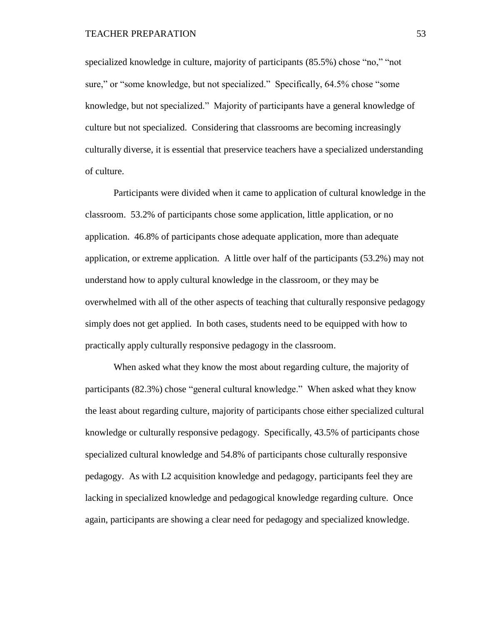specialized knowledge in culture, majority of participants (85.5%) chose "no," "not sure," or "some knowledge, but not specialized." Specifically, 64.5% chose "some knowledge, but not specialized." Majority of participants have a general knowledge of culture but not specialized. Considering that classrooms are becoming increasingly culturally diverse, it is essential that preservice teachers have a specialized understanding of culture.

Participants were divided when it came to application of cultural knowledge in the classroom. 53.2% of participants chose some application, little application, or no application. 46.8% of participants chose adequate application, more than adequate application, or extreme application. A little over half of the participants (53.2%) may not understand how to apply cultural knowledge in the classroom, or they may be overwhelmed with all of the other aspects of teaching that culturally responsive pedagogy simply does not get applied. In both cases, students need to be equipped with how to practically apply culturally responsive pedagogy in the classroom.

When asked what they know the most about regarding culture, the majority of participants (82.3%) chose "general cultural knowledge." When asked what they know the least about regarding culture, majority of participants chose either specialized cultural knowledge or culturally responsive pedagogy. Specifically, 43.5% of participants chose specialized cultural knowledge and 54.8% of participants chose culturally responsive pedagogy. As with L2 acquisition knowledge and pedagogy, participants feel they are lacking in specialized knowledge and pedagogical knowledge regarding culture. Once again, participants are showing a clear need for pedagogy and specialized knowledge.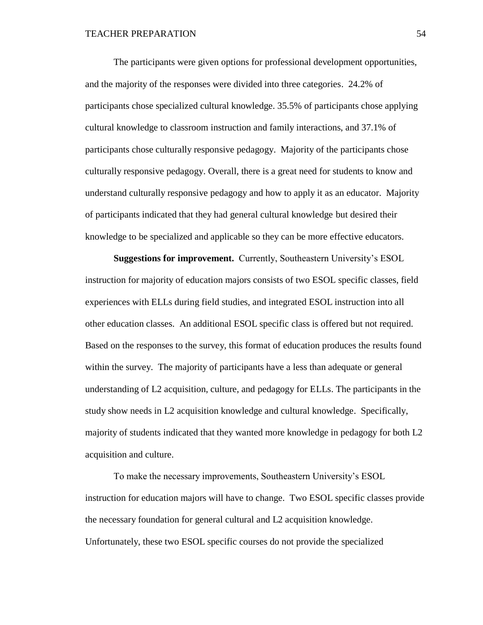The participants were given options for professional development opportunities, and the majority of the responses were divided into three categories. 24.2% of participants chose specialized cultural knowledge. 35.5% of participants chose applying cultural knowledge to classroom instruction and family interactions, and 37.1% of participants chose culturally responsive pedagogy. Majority of the participants chose culturally responsive pedagogy. Overall, there is a great need for students to know and understand culturally responsive pedagogy and how to apply it as an educator. Majority of participants indicated that they had general cultural knowledge but desired their knowledge to be specialized and applicable so they can be more effective educators.

**Suggestions for improvement.** Currently, Southeastern University's ESOL instruction for majority of education majors consists of two ESOL specific classes, field experiences with ELLs during field studies, and integrated ESOL instruction into all other education classes. An additional ESOL specific class is offered but not required. Based on the responses to the survey, this format of education produces the results found within the survey. The majority of participants have a less than adequate or general understanding of L2 acquisition, culture, and pedagogy for ELLs. The participants in the study show needs in L2 acquisition knowledge and cultural knowledge. Specifically, majority of students indicated that they wanted more knowledge in pedagogy for both L2 acquisition and culture.

To make the necessary improvements, Southeastern University's ESOL instruction for education majors will have to change. Two ESOL specific classes provide the necessary foundation for general cultural and L2 acquisition knowledge. Unfortunately, these two ESOL specific courses do not provide the specialized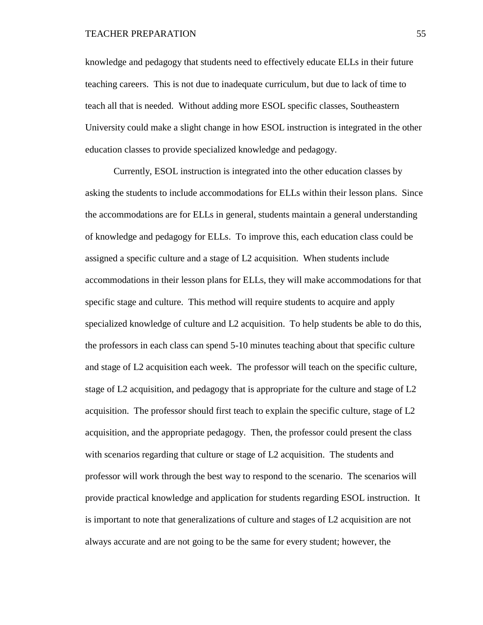knowledge and pedagogy that students need to effectively educate ELLs in their future teaching careers. This is not due to inadequate curriculum, but due to lack of time to teach all that is needed. Without adding more ESOL specific classes, Southeastern University could make a slight change in how ESOL instruction is integrated in the other education classes to provide specialized knowledge and pedagogy.

Currently, ESOL instruction is integrated into the other education classes by asking the students to include accommodations for ELLs within their lesson plans. Since the accommodations are for ELLs in general, students maintain a general understanding of knowledge and pedagogy for ELLs. To improve this, each education class could be assigned a specific culture and a stage of L2 acquisition. When students include accommodations in their lesson plans for ELLs, they will make accommodations for that specific stage and culture. This method will require students to acquire and apply specialized knowledge of culture and L2 acquisition. To help students be able to do this, the professors in each class can spend 5-10 minutes teaching about that specific culture and stage of L2 acquisition each week. The professor will teach on the specific culture, stage of L2 acquisition, and pedagogy that is appropriate for the culture and stage of L2 acquisition. The professor should first teach to explain the specific culture, stage of L2 acquisition, and the appropriate pedagogy. Then, the professor could present the class with scenarios regarding that culture or stage of L2 acquisition. The students and professor will work through the best way to respond to the scenario. The scenarios will provide practical knowledge and application for students regarding ESOL instruction. It is important to note that generalizations of culture and stages of L2 acquisition are not always accurate and are not going to be the same for every student; however, the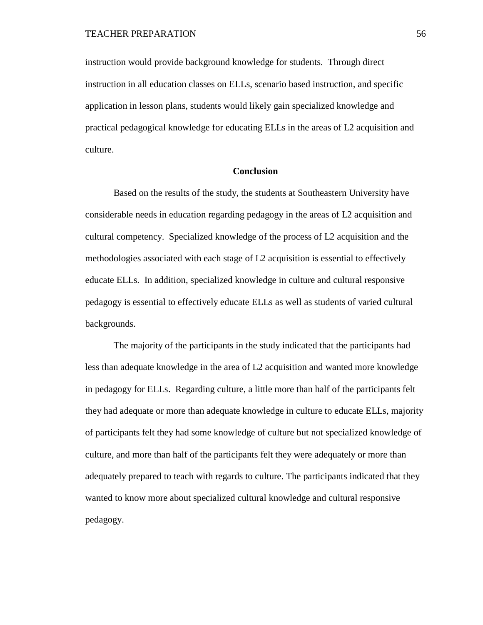instruction would provide background knowledge for students. Through direct instruction in all education classes on ELLs, scenario based instruction, and specific application in lesson plans, students would likely gain specialized knowledge and practical pedagogical knowledge for educating ELLs in the areas of L2 acquisition and culture.

### **Conclusion**

Based on the results of the study, the students at Southeastern University have considerable needs in education regarding pedagogy in the areas of L2 acquisition and cultural competency. Specialized knowledge of the process of L2 acquisition and the methodologies associated with each stage of L2 acquisition is essential to effectively educate ELLs. In addition, specialized knowledge in culture and cultural responsive pedagogy is essential to effectively educate ELLs as well as students of varied cultural backgrounds.

The majority of the participants in the study indicated that the participants had less than adequate knowledge in the area of L2 acquisition and wanted more knowledge in pedagogy for ELLs. Regarding culture, a little more than half of the participants felt they had adequate or more than adequate knowledge in culture to educate ELLs, majority of participants felt they had some knowledge of culture but not specialized knowledge of culture, and more than half of the participants felt they were adequately or more than adequately prepared to teach with regards to culture. The participants indicated that they wanted to know more about specialized cultural knowledge and cultural responsive pedagogy.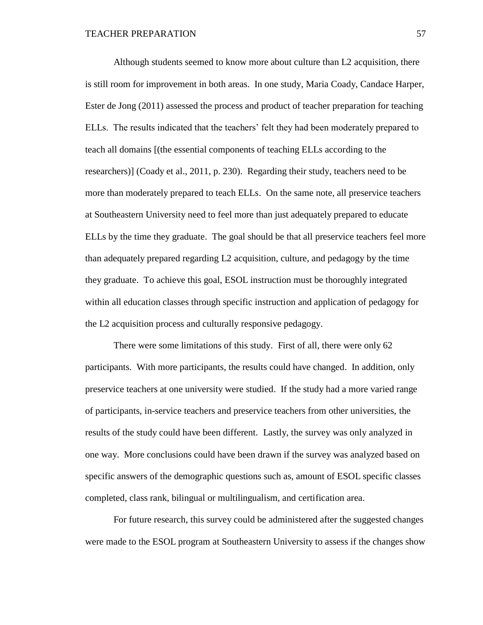Although students seemed to know more about culture than L2 acquisition, there is still room for improvement in both areas. In one study, Maria Coady, Candace Harper, Ester de Jong (2011) assessed the process and product of teacher preparation for teaching ELLs. The results indicated that the teachers' felt they had been moderately prepared to teach all domains [(the essential components of teaching ELLs according to the researchers)] (Coady et al., 2011, p. 230). Regarding their study, teachers need to be more than moderately prepared to teach ELLs. On the same note, all preservice teachers at Southeastern University need to feel more than just adequately prepared to educate ELLs by the time they graduate. The goal should be that all preservice teachers feel more than adequately prepared regarding L2 acquisition, culture, and pedagogy by the time they graduate. To achieve this goal, ESOL instruction must be thoroughly integrated within all education classes through specific instruction and application of pedagogy for the L2 acquisition process and culturally responsive pedagogy.

There were some limitations of this study. First of all, there were only 62 participants. With more participants, the results could have changed. In addition, only preservice teachers at one university were studied. If the study had a more varied range of participants, in-service teachers and preservice teachers from other universities, the results of the study could have been different. Lastly, the survey was only analyzed in one way. More conclusions could have been drawn if the survey was analyzed based on specific answers of the demographic questions such as, amount of ESOL specific classes completed, class rank, bilingual or multilingualism, and certification area.

For future research, this survey could be administered after the suggested changes were made to the ESOL program at Southeastern University to assess if the changes show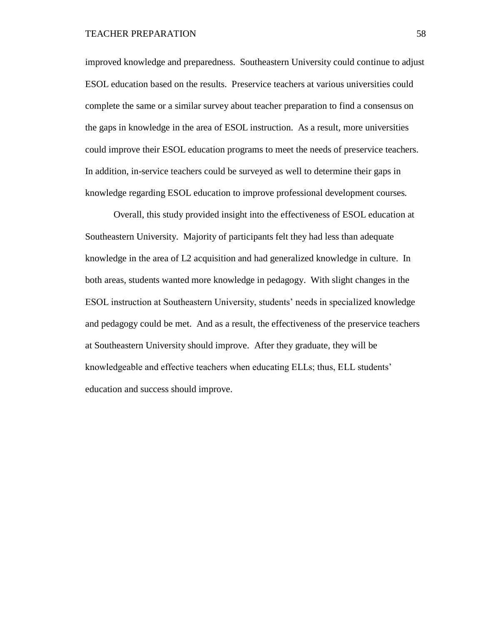improved knowledge and preparedness. Southeastern University could continue to adjust ESOL education based on the results. Preservice teachers at various universities could complete the same or a similar survey about teacher preparation to find a consensus on the gaps in knowledge in the area of ESOL instruction. As a result, more universities could improve their ESOL education programs to meet the needs of preservice teachers. In addition, in-service teachers could be surveyed as well to determine their gaps in knowledge regarding ESOL education to improve professional development courses.

Overall, this study provided insight into the effectiveness of ESOL education at Southeastern University. Majority of participants felt they had less than adequate knowledge in the area of L2 acquisition and had generalized knowledge in culture. In both areas, students wanted more knowledge in pedagogy. With slight changes in the ESOL instruction at Southeastern University, students' needs in specialized knowledge and pedagogy could be met. And as a result, the effectiveness of the preservice teachers at Southeastern University should improve. After they graduate, they will be knowledgeable and effective teachers when educating ELLs; thus, ELL students' education and success should improve.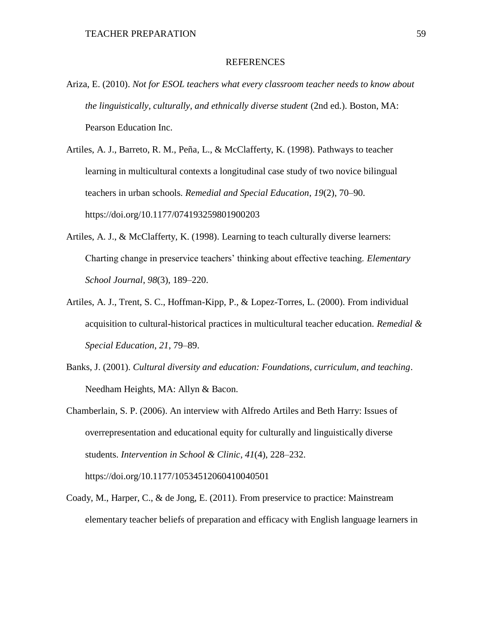### REFERENCES

- Ariza, E. (2010). *Not for ESOL teachers what every classroom teacher needs to know about the linguistically, culturally, and ethnically diverse student* (2nd ed.). Boston, MA: Pearson Education Inc.
- Artiles, A. J., Barreto, R. M., Peña, L., & McClafferty, K. (1998). Pathways to teacher learning in multicultural contexts a longitudinal case study of two novice bilingual teachers in urban schools. *Remedial and Special Education*, *19*(2), 70–90. https://doi.org/10.1177/074193259801900203
- Artiles, A. J., & McClafferty, K. (1998). Learning to teach culturally diverse learners: Charting change in preservice teachers' thinking about effective teaching. *Elementary School Journal*, *98*(3), 189–220.
- Artiles, A. J., Trent, S. C., Hoffman-Kipp, P., & Lopez-Torres, L. (2000). From individual acquisition to cultural-historical practices in multicultural teacher education. *Remedial & Special Education*, *21*, 79–89.
- Banks, J. (2001). *Cultural diversity and education: Foundations, curriculum, and teaching*. Needham Heights, MA: Allyn & Bacon.
- Chamberlain, S. P. (2006). An interview with Alfredo Artiles and Beth Harry: Issues of overrepresentation and educational equity for culturally and linguistically diverse students. *Intervention in School & Clinic*, *41*(4), 228–232. https://doi.org/10.1177/10534512060410040501
- Coady, M., Harper, C., & de Jong, E. (2011). From preservice to practice: Mainstream elementary teacher beliefs of preparation and efficacy with English language learners in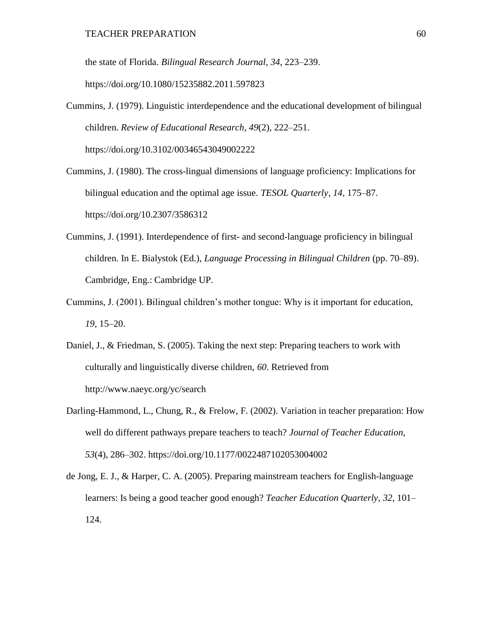the state of Florida. *Bilingual Research Journal*, *34*, 223–239. https://doi.org/10.1080/15235882.2011.597823

- Cummins, J. (1979). Linguistic interdependence and the educational development of bilingual children. *Review of Educational Research*, *49*(2), 222–251. https://doi.org/10.3102/00346543049002222
- Cummins, J. (1980). The cross-lingual dimensions of language proficiency: Implications for bilingual education and the optimal age issue. *TESOL Quarterly*, *14*, 175–87. https://doi.org/10.2307/3586312
- Cummins, J. (1991). Interdependence of first- and second-language proficiency in bilingual children. In E. Bialystok (Ed.), *Language Processing in Bilingual Children* (pp. 70–89). Cambridge, Eng.: Cambridge UP.
- Cummins, J. (2001). Bilingual children's mother tongue: Why is it important for education, *19*, 15–20.
- Daniel, J., & Friedman, S. (2005). Taking the next step: Preparing teachers to work with culturally and linguistically diverse children, *60*. Retrieved from http://www.naeyc.org/yc/search
- Darling-Hammond, L., Chung, R., & Frelow, F. (2002). Variation in teacher preparation: How well do different pathways prepare teachers to teach? *Journal of Teacher Education*, *53*(4), 286–302. https://doi.org/10.1177/0022487102053004002
- de Jong, E. J., & Harper, C. A. (2005). Preparing mainstream teachers for English-language learners: Is being a good teacher good enough? *Teacher Education Quarterly*, *32*, 101– 124.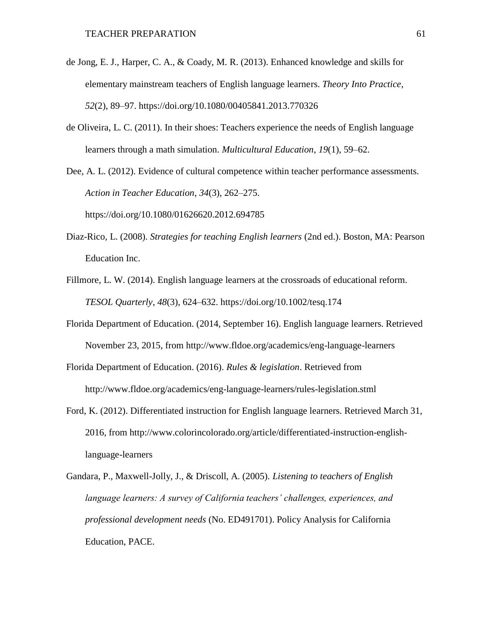- de Jong, E. J., Harper, C. A., & Coady, M. R. (2013). Enhanced knowledge and skills for elementary mainstream teachers of English language learners. *Theory Into Practice*, *52*(2), 89–97. https://doi.org/10.1080/00405841.2013.770326
- de Oliveira, L. C. (2011). In their shoes: Teachers experience the needs of English language learners through a math simulation. *Multicultural Education*, *19*(1), 59–62.
- Dee, A. L. (2012). Evidence of cultural competence within teacher performance assessments. *Action in Teacher Education*, *34*(3), 262–275.

https://doi.org/10.1080/01626620.2012.694785

- Diaz-Rico, L. (2008). *Strategies for teaching English learners* (2nd ed.). Boston, MA: Pearson Education Inc.
- Fillmore, L. W. (2014). English language learners at the crossroads of educational reform. *TESOL Quarterly*, *48*(3), 624–632. https://doi.org/10.1002/tesq.174
- Florida Department of Education. (2014, September 16). English language learners. Retrieved November 23, 2015, from http://www.fldoe.org/academics/eng-language-learners
- Florida Department of Education. (2016). *Rules & legislation*. Retrieved from http://www.fldoe.org/academics/eng-language-learners/rules-legislation.stml
- Ford, K. (2012). Differentiated instruction for English language learners. Retrieved March 31, 2016, from http://www.colorincolorado.org/article/differentiated-instruction-englishlanguage-learners
- Gandara, P., Maxwell-Jolly, J., & Driscoll, A. (2005). *Listening to teachers of English language learners: A survey of California teachers' challenges, experiences, and professional development needs* (No. ED491701). Policy Analysis for California Education, PACE.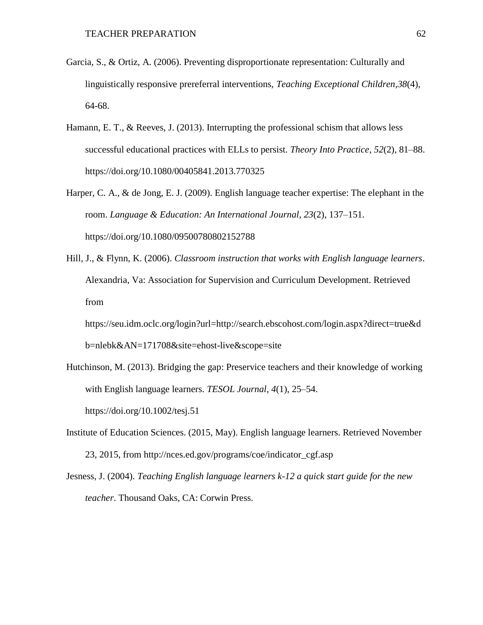- Garcia, S., & Ortiz, A. (2006). Preventing disproportionate representation: Culturally and linguistically responsive prereferral interventions, *Teaching Exceptional Children,38*(4), 64-68.
- Hamann, E. T., & Reeves, J. (2013). Interrupting the professional schism that allows less successful educational practices with ELLs to persist. *Theory Into Practice*, *52*(2), 81–88. https://doi.org/10.1080/00405841.2013.770325
- Harper, C. A., & de Jong, E. J. (2009). English language teacher expertise: The elephant in the room. *Language & Education: An International Journal*, *23*(2), 137–151. https://doi.org/10.1080/09500780802152788
- Hill, J., & Flynn, K. (2006). *Classroom instruction that works with English language learners*. Alexandria, Va: Association for Supervision and Curriculum Development. Retrieved from
	- https://seu.idm.oclc.org/login?url=http://search.ebscohost.com/login.aspx?direct=true&d b=nlebk&AN=171708&site=ehost-live&scope=site
- Hutchinson, M. (2013). Bridging the gap: Preservice teachers and their knowledge of working with English language learners. *TESOL Journal*, *4*(1), 25–54. https://doi.org/10.1002/tesj.51
- Institute of Education Sciences. (2015, May). English language learners. Retrieved November 23, 2015, from http://nces.ed.gov/programs/coe/indicator\_cgf.asp
- Jesness, J. (2004). *Teaching English language learners k-12 a quick start guide for the new teacher*. Thousand Oaks, CA: Corwin Press.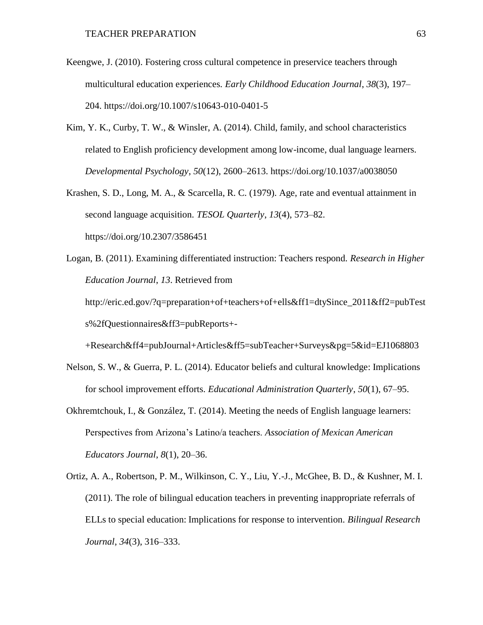- Keengwe, J. (2010). Fostering cross cultural competence in preservice teachers through multicultural education experiences. *Early Childhood Education Journal*, *38*(3), 197– 204. https://doi.org/10.1007/s10643-010-0401-5
- Kim, Y. K., Curby, T. W., & Winsler, A. (2014). Child, family, and school characteristics related to English proficiency development among low-income, dual language learners. *Developmental Psychology*, *50*(12), 2600–2613. https://doi.org/10.1037/a0038050
- Krashen, S. D., Long, M. A., & Scarcella, R. C. (1979). Age, rate and eventual attainment in second language acquisition. *TESOL Quarterly*, *13*(4), 573–82. https://doi.org/10.2307/3586451
- Logan, B. (2011). Examining differentiated instruction: Teachers respond. *Research in Higher Education Journal*, *13*. Retrieved from http://eric.ed.gov/?q=preparation+of+teachers+of+ells&ff1=dtySince\_2011&ff2=pubTest s%2fQuestionnaires&ff3=pubReports+-

+Research&ff4=pubJournal+Articles&ff5=subTeacher+Surveys&pg=5&id=EJ1068803

- Nelson, S. W., & Guerra, P. L. (2014). Educator beliefs and cultural knowledge: Implications for school improvement efforts. *Educational Administration Quarterly*, *50*(1), 67–95.
- Okhremtchouk, I., & González, T. (2014). Meeting the needs of English language learners: Perspectives from Arizona's Latino/a teachers. *Association of Mexican American Educators Journal*, *8*(1), 20–36.
- Ortiz, A. A., Robertson, P. M., Wilkinson, C. Y., Liu, Y.-J., McGhee, B. D., & Kushner, M. I. (2011). The role of bilingual education teachers in preventing inappropriate referrals of ELLs to special education: Implications for response to intervention. *Bilingual Research Journal*, *34*(3), 316–333.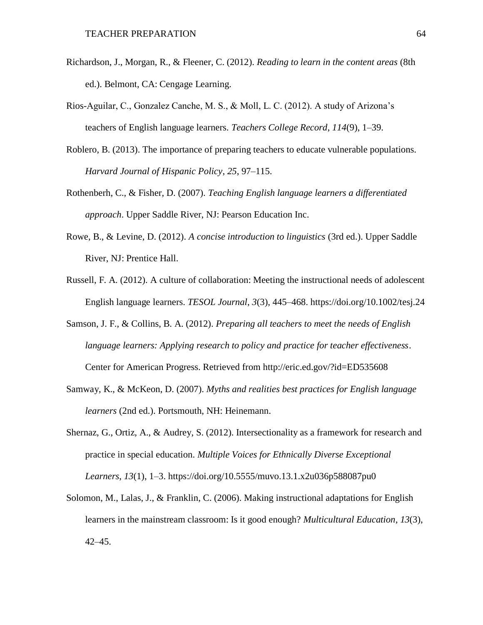- Richardson, J., Morgan, R., & Fleener, C. (2012). *Reading to learn in the content areas* (8th ed.). Belmont, CA: Cengage Learning.
- Rios-Aguilar, C., Gonzalez Canche, M. S., & Moll, L. C. (2012). A study of Arizona's teachers of English language learners. *Teachers College Record*, *114*(9), 1–39.
- Roblero, B. (2013). The importance of preparing teachers to educate vulnerable populations. *Harvard Journal of Hispanic Policy*, *25*, 97–115.
- Rothenberh, C., & Fisher, D. (2007). *Teaching English language learners a differentiated approach*. Upper Saddle River, NJ: Pearson Education Inc.
- Rowe, B., & Levine, D. (2012). *A concise introduction to linguistics* (3rd ed.). Upper Saddle River, NJ: Prentice Hall.
- Russell, F. A. (2012). A culture of collaboration: Meeting the instructional needs of adolescent English language learners. *TESOL Journal*, *3*(3), 445–468. https://doi.org/10.1002/tesj.24
- Samson, J. F., & Collins, B. A. (2012). *Preparing all teachers to meet the needs of English language learners: Applying research to policy and practice for teacher effectiveness*. Center for American Progress. Retrieved from http://eric.ed.gov/?id=ED535608
- Samway, K., & McKeon, D. (2007). *Myths and realities best practices for English language learners* (2nd ed.). Portsmouth, NH: Heinemann.
- Shernaz, G., Ortiz, A., & Audrey, S. (2012). Intersectionality as a framework for research and practice in special education. *Multiple Voices for Ethnically Diverse Exceptional Learners*, *13*(1), 1–3. https://doi.org/10.5555/muvo.13.1.x2u036p588087pu0
- Solomon, M., Lalas, J., & Franklin, C. (2006). Making instructional adaptations for English learners in the mainstream classroom: Is it good enough? *Multicultural Education*, *13*(3), 42–45.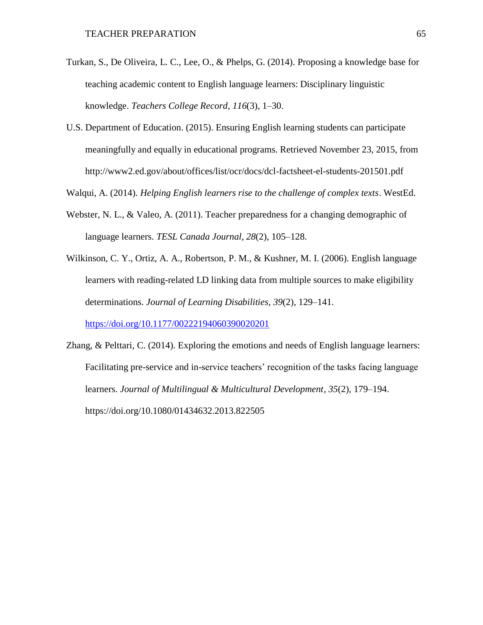- Turkan, S., De Oliveira, L. C., Lee, O., & Phelps, G. (2014). Proposing a knowledge base for teaching academic content to English language learners: Disciplinary linguistic knowledge. *Teachers College Record*, *116*(3), 1–30.
- U.S. Department of Education. (2015). Ensuring English learning students can participate meaningfully and equally in educational programs. Retrieved November 23, 2015, from http://www2.ed.gov/about/offices/list/ocr/docs/dcl-factsheet-el-students-201501.pdf
- Walqui, A. (2014). *Helping English learners rise to the challenge of complex texts*. WestEd.
- Webster, N. L., & Valeo, A. (2011). Teacher preparedness for a changing demographic of language learners. *TESL Canada Journal*, *28*(2), 105–128.
- Wilkinson, C. Y., Ortiz, A. A., Robertson, P. M., & Kushner, M. I. (2006). English language learners with reading-related LD linking data from multiple sources to make eligibility determinations. *Journal of Learning Disabilities*, *39*(2), 129–141.

<https://doi.org/10.1177/00222194060390020201>

Zhang, & Pelttari, C. (2014). Exploring the emotions and needs of English language learners: Facilitating pre-service and in-service teachers' recognition of the tasks facing language learners. *Journal of Multilingual & Multicultural Development*, *35*(2), 179–194. https://doi.org/10.1080/01434632.2013.822505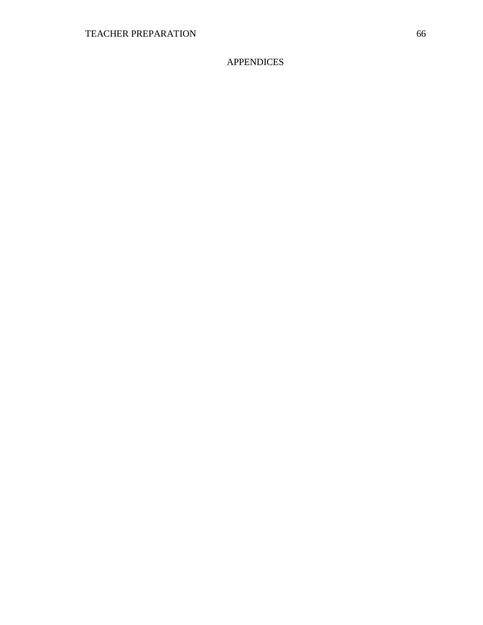APPENDICES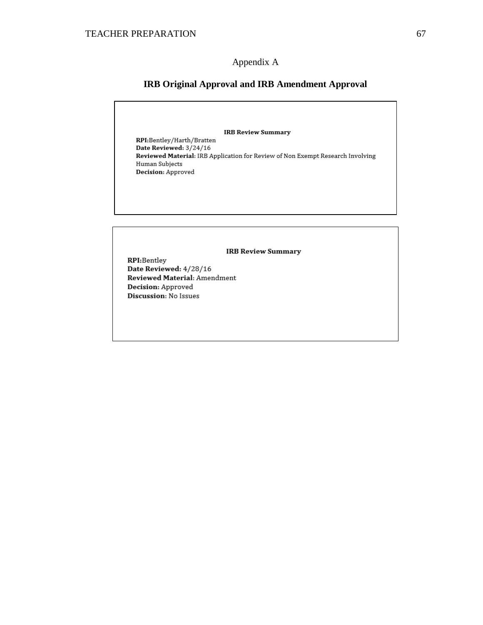# Appendix A

# **IRB Original Approval and IRB Amendment Approval**

**IRB Review Summary** RPI:Bentley/Harth/Bratten Date Reviewed: 3/24/16 Reviewed Material: IRB Application for Review of Non Exempt Research Involving Human Subjects Decision: Approved **IRB Review Summary** RPI:Bentley Date Reviewed: 4/28/16 Reviewed Material: Amendment Decision: Approved Discussion: No Issues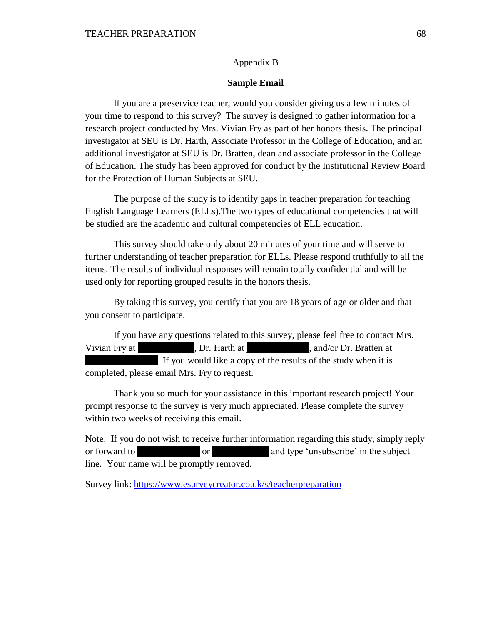## Appendix B

### **Sample Email**

If you are a preservice teacher, would you consider giving us a few minutes of your time to respond to this survey? The survey is designed to gather information for a research project conducted by Mrs. Vivian Fry as part of her honors thesis. The principal investigator at SEU is Dr. Harth, Associate Professor in the College of Education, and an additional investigator at SEU is Dr. Bratten, dean and associate professor in the College of Education. The study has been approved for conduct by the Institutional Review Board for the Protection of Human Subjects at SEU.

The purpose of the study is to identify gaps in teacher preparation for teaching English Language Learners (ELLs).The two types of educational competencies that will be studied are the academic and cultural competencies of ELL education.

This survey should take only about 20 minutes of your time and will serve to further understanding of teacher preparation for ELLs. Please respond truthfully to all the items. The results of individual responses will remain totally confidential and will be used only for reporting grouped results in the honors thesis.

By taking this survey, you certify that you are 18 years of age or older and that you consent to participate.

If you have any questions related to this survey, please feel free to contact Mrs. Vivian Fry at just be very perfect on Dr. Harth at just and/or Dr. Bratten at just be very set of  $\frac{1}{2}$ . If you would like a copy of the results of the study when it is completed, please email Mrs. Fry to request.

Thank you so much for your assistance in this important research project! Your prompt response to the survey is very much appreciated. Please complete the survey within two weeks of receiving this email.

Note: If you do not wish to receive further information regarding this study, simply reply or forward to june or variable or variable variables in the subject line. Your name will be promptly removed.

Survey link:<https://www.esurveycreator.co.uk/s/teacherpreparation>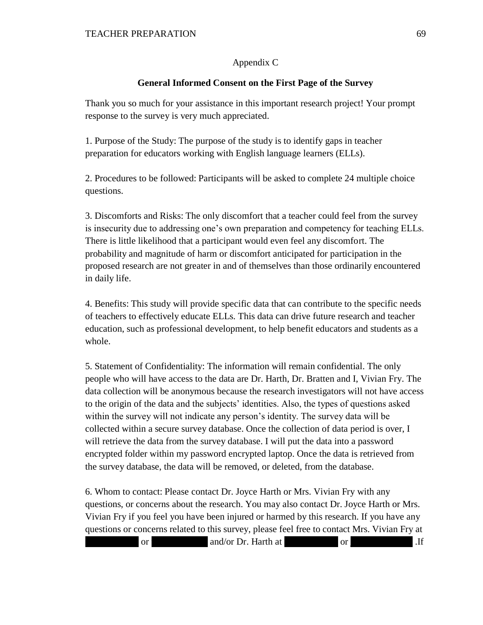# Appendix C

# **General Informed Consent on the First Page of the Survey**

Thank you so much for your assistance in this important research project! Your prompt response to the survey is very much appreciated.

1. Purpose of the Study: The purpose of the study is to identify gaps in teacher preparation for educators working with English language learners (ELLs).

2. Procedures to be followed: Participants will be asked to complete 24 multiple choice questions.

3. Discomforts and Risks: The only discomfort that a teacher could feel from the survey is insecurity due to addressing one's own preparation and competency for teaching ELLs. There is little likelihood that a participant would even feel any discomfort. The probability and magnitude of harm or discomfort anticipated for participation in the proposed research are not greater in and of themselves than those ordinarily encountered in daily life.

4. Benefits: This study will provide specific data that can contribute to the specific needs of teachers to effectively educate ELLs. This data can drive future research and teacher education, such as professional development, to help benefit educators and students as a whole.

5. Statement of Confidentiality: The information will remain confidential. The only people who will have access to the data are Dr. Harth, Dr. Bratten and I, Vivian Fry. The data collection will be anonymous because the research investigators will not have access to the origin of the data and the subjects' identities. Also, the types of questions asked within the survey will not indicate any person's identity. The survey data will be collected within a secure survey database. Once the collection of data period is over, I will retrieve the data from the survey database. I will put the data into a password encrypted folder within my password encrypted laptop. Once the data is retrieved from the survey database, the data will be removed, or deleted, from the database.

6. Whom to contact: Please contact Dr. Joyce Harth or Mrs. Vivian Fry with any questions, or concerns about the research. You may also contact Dr. Joyce Harth or Mrs. Vivian Fry if you feel you have been injured or harmed by this research. If you have any questions or concerns related to this survey, please feel free to contact Mrs. Vivian Fry at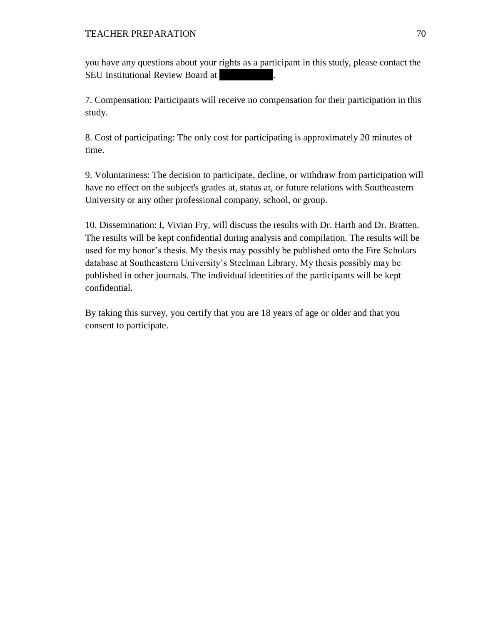you have any questions about your rights as a participant in this study, please contact the SEU Institutional Review Board at

7. Compensation: Participants will receive no compensation for their participation in this study.

8. Cost of participating: The only cost for participating is approximately 20 minutes of time.

9. Voluntariness: The decision to participate, decline, or withdraw from participation will have no effect on the subject's grades at, status at, or future relations with Southeastern University or any other professional company, school, or group.

10. Dissemination: I, Vivian Fry, will discuss the results with Dr. Harth and Dr. Bratten. The results will be kept confidential during analysis and compilation. The results will be used for my honor's thesis. My thesis may possibly be published onto the Fire Scholars database at Southeastern University's Steelman Library. My thesis possibly may be published in other journals. The individual identities of the participants will be kept confidential.

By taking this survey, you certify that you are 18 years of age or older and that you consent to participate.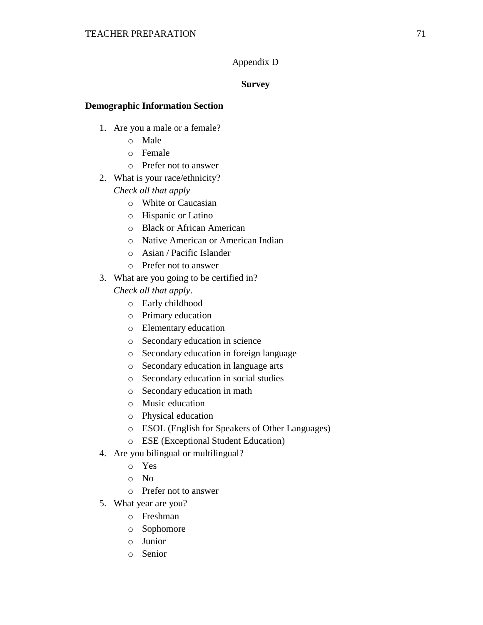# Appendix D

# **Survey**

# **Demographic Information Section**

- 1. Are you a male or a female?
	- o Male
	- o Female
	- o Prefer not to answer
- 2. What is your race/ethnicity?
	- *Check all that apply*
		- o White or Caucasian
		- o Hispanic or Latino
		- o Black or African American
		- o Native American or American Indian
		- o Asian / Pacific Islander
		- o Prefer not to answer
- 3. What are you going to be certified in?

*Check all that apply*.

- o Early childhood
- o Primary education
- o Elementary education
- o Secondary education in science
- o Secondary education in foreign language
- o Secondary education in language arts
- o Secondary education in social studies
- o Secondary education in math
- o Music education
- o Physical education
- o ESOL (English for Speakers of Other Languages)
- o ESE (Exceptional Student Education)
- 4. Are you bilingual or multilingual?
	- o Yes
	- o No
	- o Prefer not to answer
- 5. What year are you?
	- o Freshman
	- o Sophomore
	- o Junior
	- o Senior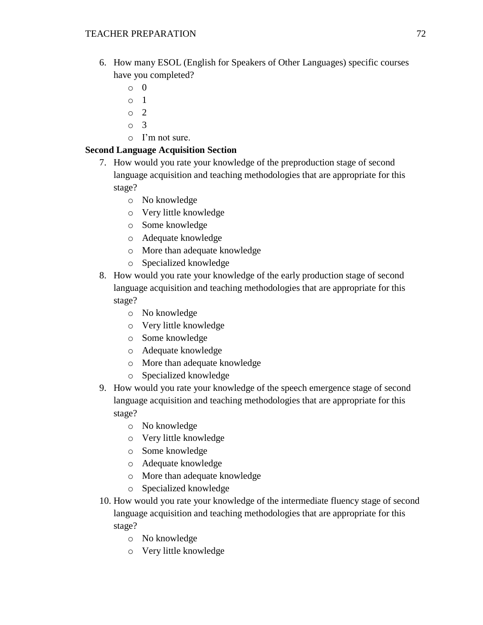- 6. How many ESOL (English for Speakers of Other Languages) specific courses have you completed?
	- o 0
	- o 1
	- o 2
	- o 3
	- o I'm not sure.

## **Second Language Acquisition Section**

- 7. How would you rate your knowledge of the preproduction stage of second language acquisition and teaching methodologies that are appropriate for this stage?
	- o No knowledge
	- o Very little knowledge
	- o Some knowledge
	- o Adequate knowledge
	- o More than adequate knowledge
	- o Specialized knowledge
- 8. How would you rate your knowledge of the early production stage of second language acquisition and teaching methodologies that are appropriate for this stage?
	- o No knowledge
	- o Very little knowledge
	- o Some knowledge
	- o Adequate knowledge
	- o More than adequate knowledge
	- o Specialized knowledge
- 9. How would you rate your knowledge of the speech emergence stage of second language acquisition and teaching methodologies that are appropriate for this stage?
	- o No knowledge
	- o Very little knowledge
	- o Some knowledge
	- o Adequate knowledge
	- o More than adequate knowledge
	- o Specialized knowledge
- 10. How would you rate your knowledge of the intermediate fluency stage of second language acquisition and teaching methodologies that are appropriate for this stage?
	- o No knowledge
	- o Very little knowledge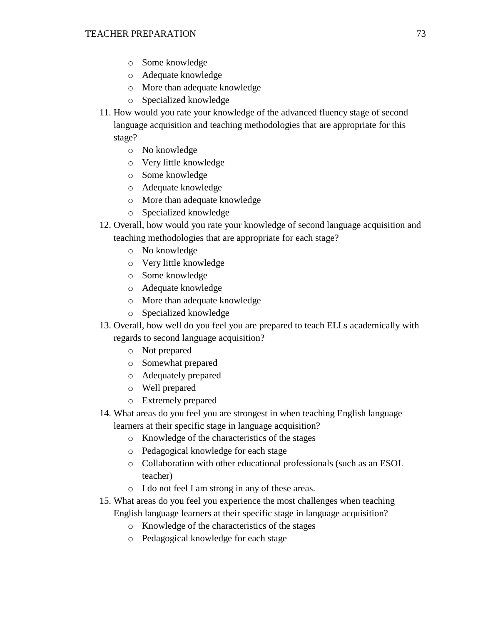- o Some knowledge
- o Adequate knowledge
- o More than adequate knowledge
- o Specialized knowledge
- 11. How would you rate your knowledge of the advanced fluency stage of second language acquisition and teaching methodologies that are appropriate for this stage?
	- o No knowledge
	- o Very little knowledge
	- o Some knowledge
	- o Adequate knowledge
	- o More than adequate knowledge
	- o Specialized knowledge
- 12. Overall, how would you rate your knowledge of second language acquisition and teaching methodologies that are appropriate for each stage?
	- o No knowledge
	- o Very little knowledge
	- o Some knowledge
	- o Adequate knowledge
	- o More than adequate knowledge
	- o Specialized knowledge
- 13. Overall, how well do you feel you are prepared to teach ELLs academically with regards to second language acquisition?
	- o Not prepared
	- o Somewhat prepared
	- o Adequately prepared
	- o Well prepared
	- o Extremely prepared
- 14. What areas do you feel you are strongest in when teaching English language learners at their specific stage in language acquisition?
	- o Knowledge of the characteristics of the stages
	- o Pedagogical knowledge for each stage
	- o Collaboration with other educational professionals (such as an ESOL teacher)
	- o I do not feel I am strong in any of these areas.
- 15. What areas do you feel you experience the most challenges when teaching English language learners at their specific stage in language acquisition?
	- o Knowledge of the characteristics of the stages
	- o Pedagogical knowledge for each stage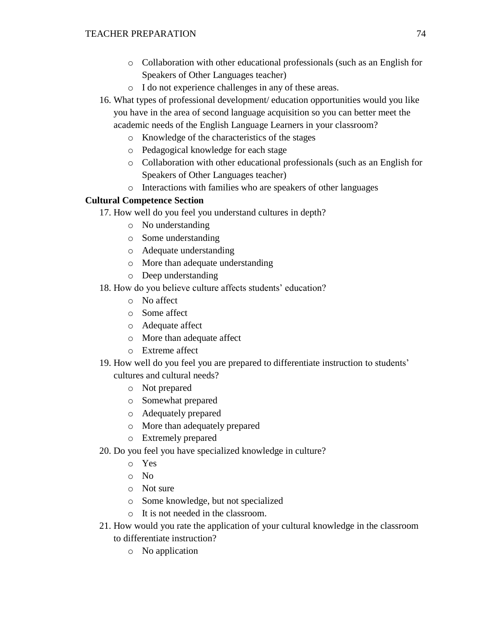- o Collaboration with other educational professionals (such as an English for Speakers of Other Languages teacher)
- o I do not experience challenges in any of these areas.
- 16. What types of professional development/ education opportunities would you like you have in the area of second language acquisition so you can better meet the academic needs of the English Language Learners in your classroom?
	- o Knowledge of the characteristics of the stages
	- o Pedagogical knowledge for each stage
	- o Collaboration with other educational professionals (such as an English for Speakers of Other Languages teacher)
	- o Interactions with families who are speakers of other languages

## **Cultural Competence Section**

- 17. How well do you feel you understand cultures in depth?
	- o No understanding
	- o Some understanding
	- o Adequate understanding
	- o More than adequate understanding
	- o Deep understanding
- 18. How do you believe culture affects students' education?
	- o No affect
	- o Some affect
	- o Adequate affect
	- o More than adequate affect
	- o Extreme affect
- 19. How well do you feel you are prepared to differentiate instruction to students' cultures and cultural needs?
	- o Not prepared
	- o Somewhat prepared
	- o Adequately prepared
	- o More than adequately prepared
	- o Extremely prepared
- 20. Do you feel you have specialized knowledge in culture?
	- o Yes
	- o No
	- o Not sure
	- o Some knowledge, but not specialized
	- o It is not needed in the classroom.
- 21. How would you rate the application of your cultural knowledge in the classroom to differentiate instruction?
	- o No application